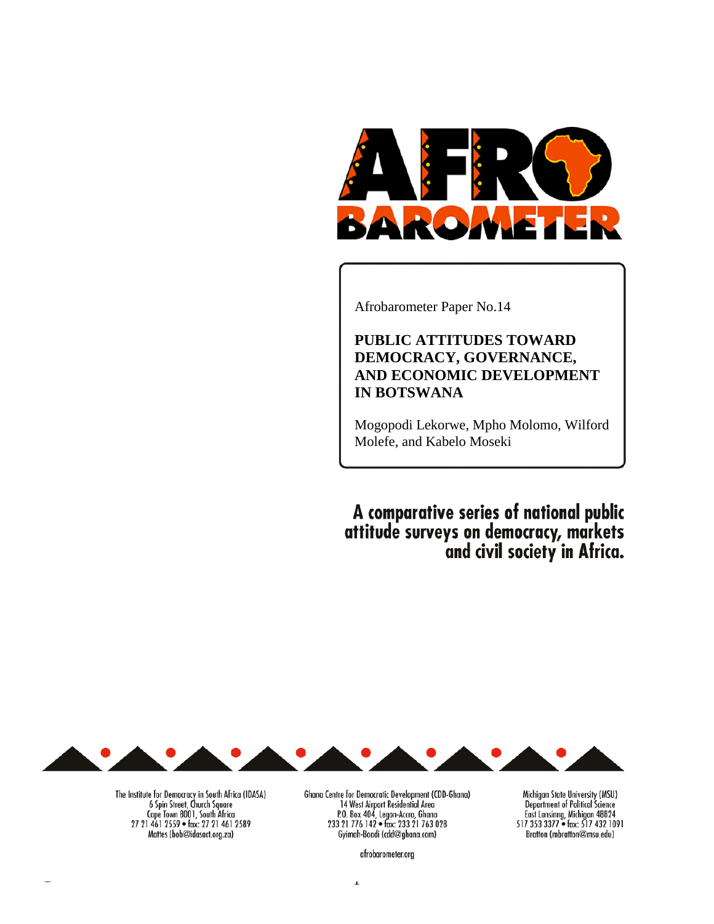

Afrobarometer Paper No.14

# **PUBLIC ATTITUDES TOWARD DEMOCRACY, GOVERNANCE, AND ECONOMIC DEVELOPMENT IN BOTSWANA**

Mogopodi Lekorwe, Mpho Molomo, Wilford Molefe, and Kabelo Moseki

A comparative series of national public attitude surveys on democracy, markets<br>and civil society in Africa.



The Institute for Democracy in South Africa (IDASA)<br>6 Spin Street, Church Square Cape Town 8001, South Africa<br>27 21 461 2559 • fax: 27 21 461 2589 Mattes (bob@idasact.org.za)

Ghana Centre for Democratic Development (CDD-Ghana) 14 West Airport Residential Area<br>
P.O. Box 404, Legon-Accra, Ghana<br>
233 21 776 142 • fax: 233 21 763 028 Gyimah-Boadi (cdd@ghana.com)

Michigan State University (MSU) Department of Political Science East Lansinng, Michigan 48824<br>517 353 3377 • fax: 517 432 1091 Bratton (mbratton@msu.edu)

afrobarometer.org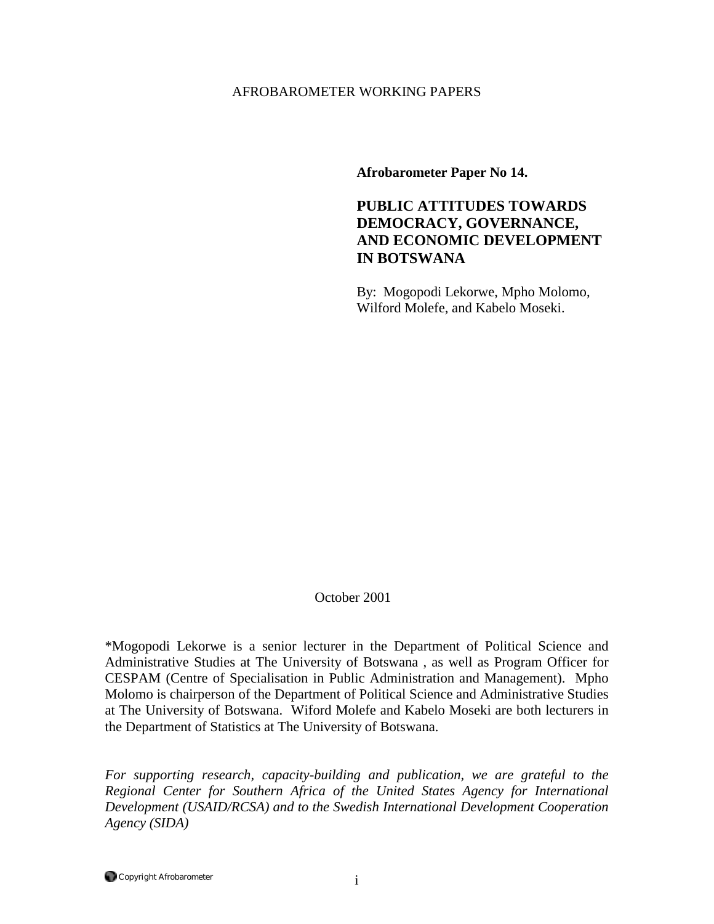### AFROBAROMETER WORKING PAPERS

**Afrobarometer Paper No 14.** 

# **PUBLIC ATTITUDES TOWARDS DEMOCRACY, GOVERNANCE, AND ECONOMIC DEVELOPMENT IN BOTSWANA**

By: Mogopodi Lekorwe, Mpho Molomo, Wilford Molefe, and Kabelo Moseki.

# October 2001

\*Mogopodi Lekorwe is a senior lecturer in the Department of Political Science and Administrative Studies at The University of Botswana , as well as Program Officer for CESPAM (Centre of Specialisation in Public Administration and Management). Mpho Molomo is chairperson of the Department of Political Science and Administrative Studies at The University of Botswana. Wiford Molefe and Kabelo Moseki are both lecturers in the Department of Statistics at The University of Botswana.

*For supporting research, capacity-building and publication, we are grateful to the Regional Center for Southern Africa of the United States Agency for International Development (USAID/RCSA) and to the Swedish International Development Cooperation Agency (SIDA)*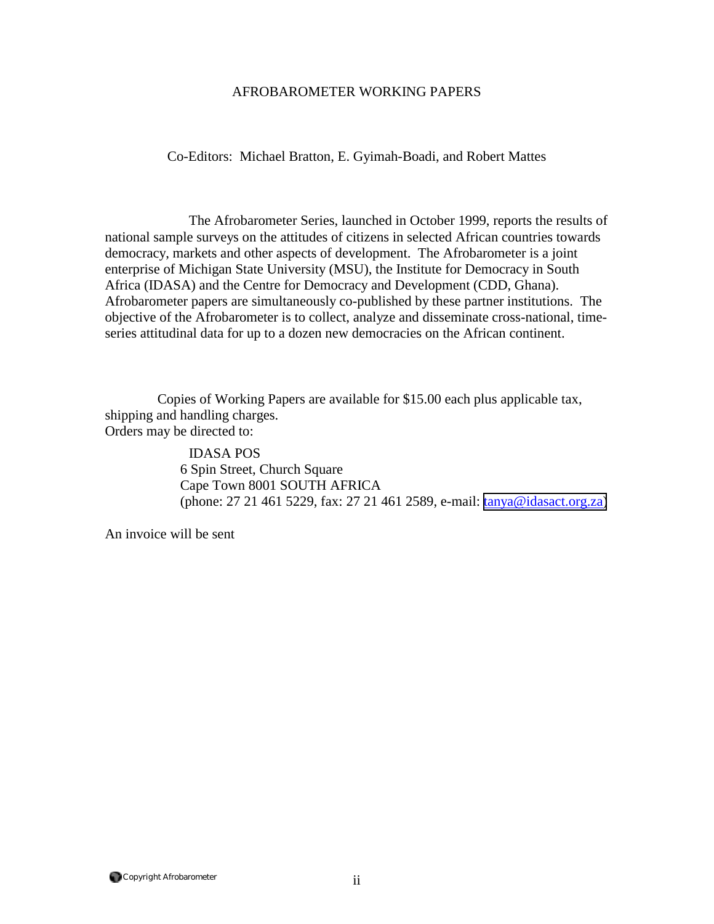### AFROBAROMETER WORKING PAPERS

Co-Editors: Michael Bratton, E. Gyimah-Boadi, and Robert Mattes

 The Afrobarometer Series, launched in October 1999, reports the results of national sample surveys on the attitudes of citizens in selected African countries towards democracy, markets and other aspects of development. The Afrobarometer is a joint enterprise of Michigan State University (MSU), the Institute for Democracy in South Africa (IDASA) and the Centre for Democracy and Development (CDD, Ghana). Afrobarometer papers are simultaneously co-published by these partner institutions. The objective of the Afrobarometer is to collect, analyze and disseminate cross-national, timeseries attitudinal data for up to a dozen new democracies on the African continent.

Copies of Working Papers are available for \$15.00 each plus applicable tax, shipping and handling charges. Orders may be directed to:

> IDASA POS 6 Spin Street, Church Square Cape Town 8001 SOUTH AFRICA (phone: 27 21 461 5229, fax: 27 21 461 2589, e-mail: [tanya@idasact.org.za\)](mailto: tanya@idasact.org.za)

An invoice will be sent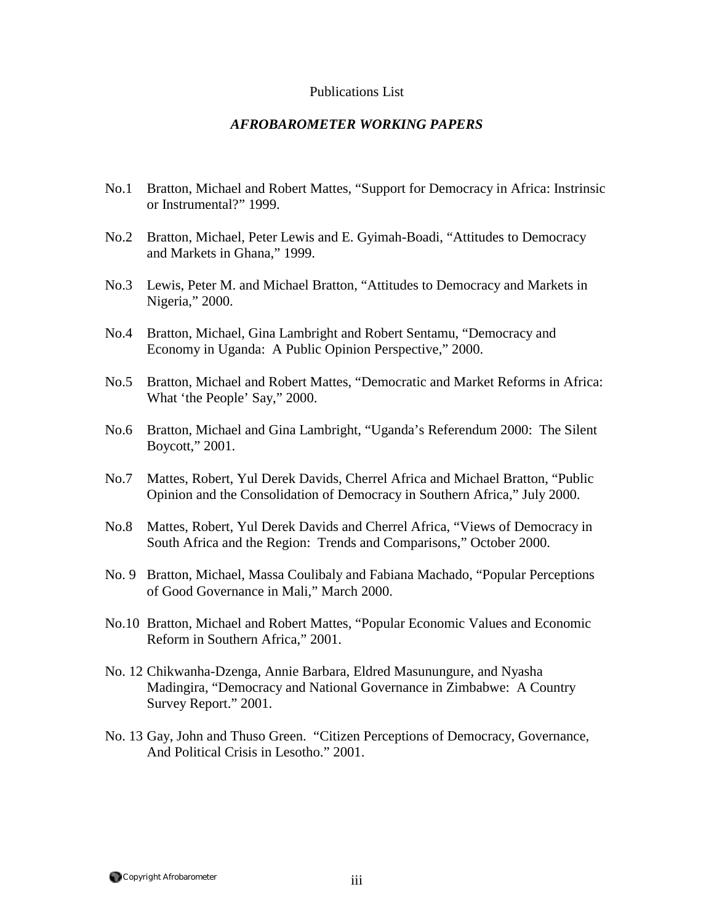#### Publications List

### *AFROBAROMETER WORKING PAPERS*

- No.1 Bratton, Michael and Robert Mattes, "Support for Democracy in Africa: Instrinsic or Instrumental?" 1999.
- No.2 Bratton, Michael, Peter Lewis and E. Gyimah-Boadi, "Attitudes to Democracy and Markets in Ghana," 1999.
- No.3 Lewis, Peter M. and Michael Bratton, "Attitudes to Democracy and Markets in Nigeria," 2000.
- No.4 Bratton, Michael, Gina Lambright and Robert Sentamu, "Democracy and Economy in Uganda: A Public Opinion Perspective," 2000.
- No.5 Bratton, Michael and Robert Mattes, "Democratic and Market Reforms in Africa: What 'the People' Say," 2000.
- No.6 Bratton, Michael and Gina Lambright, "Uganda's Referendum 2000: The Silent Boycott," 2001.
- No.7 Mattes, Robert, Yul Derek Davids, Cherrel Africa and Michael Bratton, "Public Opinion and the Consolidation of Democracy in Southern Africa," July 2000.
- No.8 Mattes, Robert, Yul Derek Davids and Cherrel Africa, "Views of Democracy in South Africa and the Region: Trends and Comparisons," October 2000.
- No. 9 Bratton, Michael, Massa Coulibaly and Fabiana Machado, "Popular Perceptions of Good Governance in Mali," March 2000.
- No.10 Bratton, Michael and Robert Mattes, "Popular Economic Values and Economic Reform in Southern Africa," 2001.
- No. 12 Chikwanha-Dzenga, Annie Barbara, Eldred Masunungure, and Nyasha Madingira, "Democracy and National Governance in Zimbabwe: A Country Survey Report." 2001.
- No. 13 Gay, John and Thuso Green. "Citizen Perceptions of Democracy, Governance, And Political Crisis in Lesotho." 2001.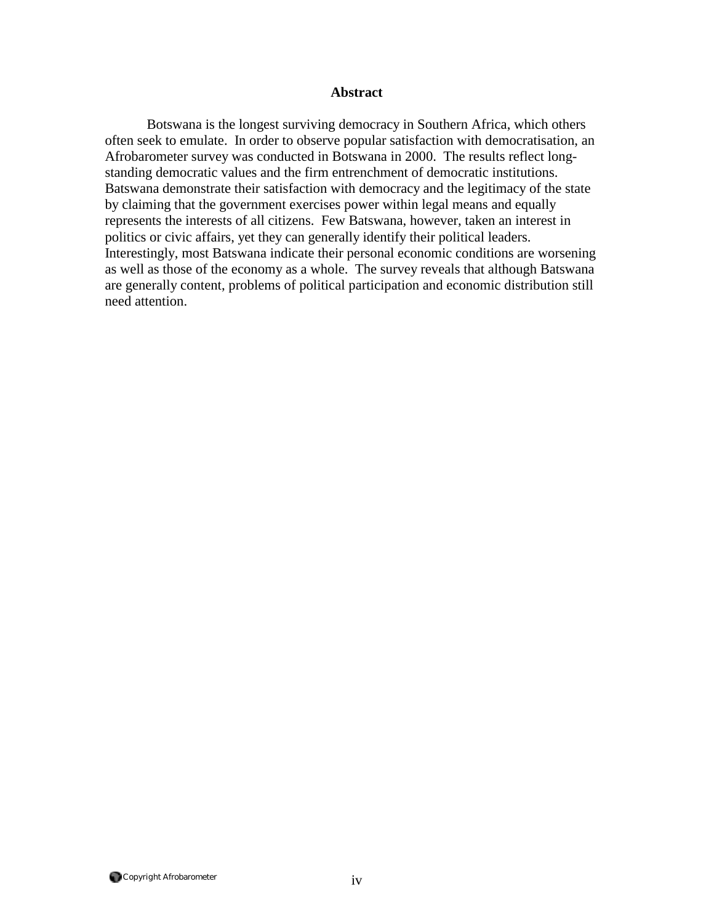#### **Abstract**

 Botswana is the longest surviving democracy in Southern Africa, which others often seek to emulate. In order to observe popular satisfaction with democratisation, an Afrobarometer survey was conducted in Botswana in 2000. The results reflect longstanding democratic values and the firm entrenchment of democratic institutions. Batswana demonstrate their satisfaction with democracy and the legitimacy of the state by claiming that the government exercises power within legal means and equally represents the interests of all citizens. Few Batswana, however, taken an interest in politics or civic affairs, yet they can generally identify their political leaders. Interestingly, most Batswana indicate their personal economic conditions are worsening as well as those of the economy as a whole. The survey reveals that although Batswana are generally content, problems of political participation and economic distribution still need attention.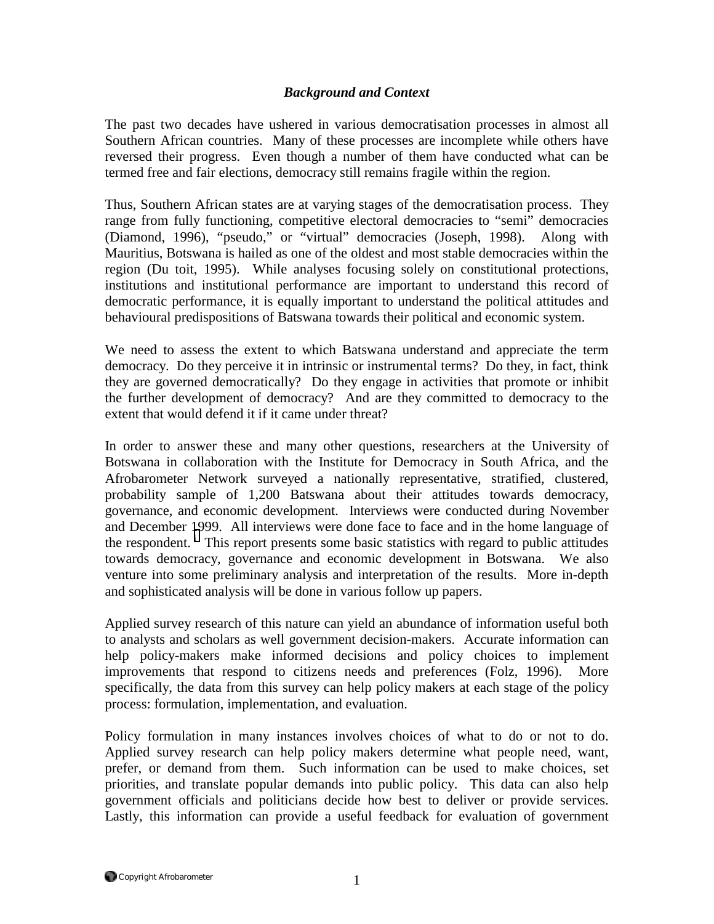# *Background and Context*

The past two decades have ushered in various democratisation processes in almost all Southern African countries. Many of these processes are incomplete while others have reversed their progress. Even though a number of them have conducted what can be termed free and fair elections, democracy still remains fragile within the region.

Thus, Southern African states are at varying stages of the democratisation process. They range from fully functioning, competitive electoral democracies to "semi" democracies (Diamond, 1996), "pseudo," or "virtual" democracies (Joseph, 1998). Along with Mauritius, Botswana is hailed as one of the oldest and most stable democracies within the region (Du toit, 1995). While analyses focusing solely on constitutional protections, institutions and institutional performance are important to understand this record of democratic performance, it is equally important to understand the political attitudes and behavioural predispositions of Batswana towards their political and economic system.

We need to assess the extent to which Batswana understand and appreciate the term democracy. Do they perceive it in intrinsic or instrumental terms? Do they, in fact, think they are governed democratically? Do they engage in activities that promote or inhibit the further development of democracy? And are they committed to democracy to the extent that would defend it if it came under threat?

In order to answer these and many other questions, researchers at the University of Botswana in collaboration with the Institute for Democracy in South Africa, and the Afrobarometer Network surveyed a nationally representative, stratified, clustered, probability sample of 1,200 Batswana about their attitudes towards democracy, governance, and economic development. Interviews were conducted during November and December 1999. All interviews were done face to face and in the home language of the respondent.<sup> $\frac{1}{1}$ </sup> This report presents some basic statistics with regard to public attitudes towards democracy, governance and economic development in Botswana. We also venture into some preliminary analysis and interpretation of the results. More in-depth and sophisticated analysis will be done in various follow up papers.

Applied survey research of this nature can yield an abundance of information useful both to analysts and scholars as well government decision-makers. Accurate information can help policy-makers make informed decisions and policy choices to implement improvements that respond to citizens needs and preferences (Folz, 1996). More specifically, the data from this survey can help policy makers at each stage of the policy process: formulation, implementation, and evaluation.

Policy formulation in many instances involves choices of what to do or not to do. Applied survey research can help policy makers determine what people need, want, prefer, or demand from them. Such information can be used to make choices, set priorities, and translate popular demands into public policy. This data can also help government officials and politicians decide how best to deliver or provide services. Lastly, this information can provide a useful feedback for evaluation of government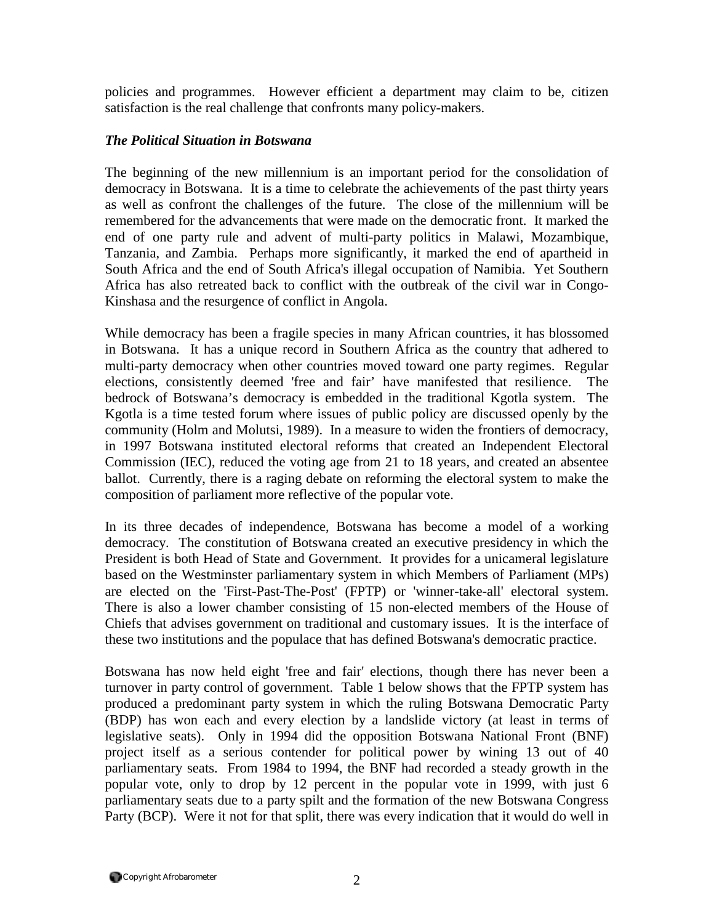policies and programmes. However efficient a department may claim to be, citizen satisfaction is the real challenge that confronts many policy-makers.

# *The Political Situation in Botswana*

The beginning of the new millennium is an important period for the consolidation of democracy in Botswana. It is a time to celebrate the achievements of the past thirty years as well as confront the challenges of the future. The close of the millennium will be remembered for the advancements that were made on the democratic front. It marked the end of one party rule and advent of multi-party politics in Malawi, Mozambique, Tanzania, and Zambia. Perhaps more significantly, it marked the end of apartheid in South Africa and the end of South Africa's illegal occupation of Namibia. Yet Southern Africa has also retreated back to conflict with the outbreak of the civil war in Congo-Kinshasa and the resurgence of conflict in Angola.

While democracy has been a fragile species in many African countries, it has blossomed in Botswana. It has a unique record in Southern Africa as the country that adhered to multi-party democracy when other countries moved toward one party regimes. Regular elections, consistently deemed 'free and fair' have manifested that resilience. The bedrock of Botswana's democracy is embedded in the traditional Kgotla system. The Kgotla is a time tested forum where issues of public policy are discussed openly by the community (Holm and Molutsi, 1989). In a measure to widen the frontiers of democracy, in 1997 Botswana instituted electoral reforms that created an Independent Electoral Commission (IEC), reduced the voting age from 21 to 18 years, and created an absentee ballot. Currently, there is a raging debate on reforming the electoral system to make the composition of parliament more reflective of the popular vote.

In its three decades of independence, Botswana has become a model of a working democracy. The constitution of Botswana created an executive presidency in which the President is both Head of State and Government. It provides for a unicameral legislature based on the Westminster parliamentary system in which Members of Parliament (MPs) are elected on the 'First-Past-The-Post' (FPTP) or 'winner-take-all' electoral system. There is also a lower chamber consisting of 15 non-elected members of the House of Chiefs that advises government on traditional and customary issues. It is the interface of these two institutions and the populace that has defined Botswana's democratic practice.

Botswana has now held eight 'free and fair' elections, though there has never been a turnover in party control of government. Table 1 below shows that the FPTP system has produced a predominant party system in which the ruling Botswana Democratic Party (BDP) has won each and every election by a landslide victory (at least in terms of legislative seats). Only in 1994 did the opposition Botswana National Front (BNF) project itself as a serious contender for political power by wining 13 out of 40 parliamentary seats. From 1984 to 1994, the BNF had recorded a steady growth in the popular vote, only to drop by 12 percent in the popular vote in 1999, with just 6 parliamentary seats due to a party spilt and the formation of the new Botswana Congress Party (BCP). Were it not for that split, there was every indication that it would do well in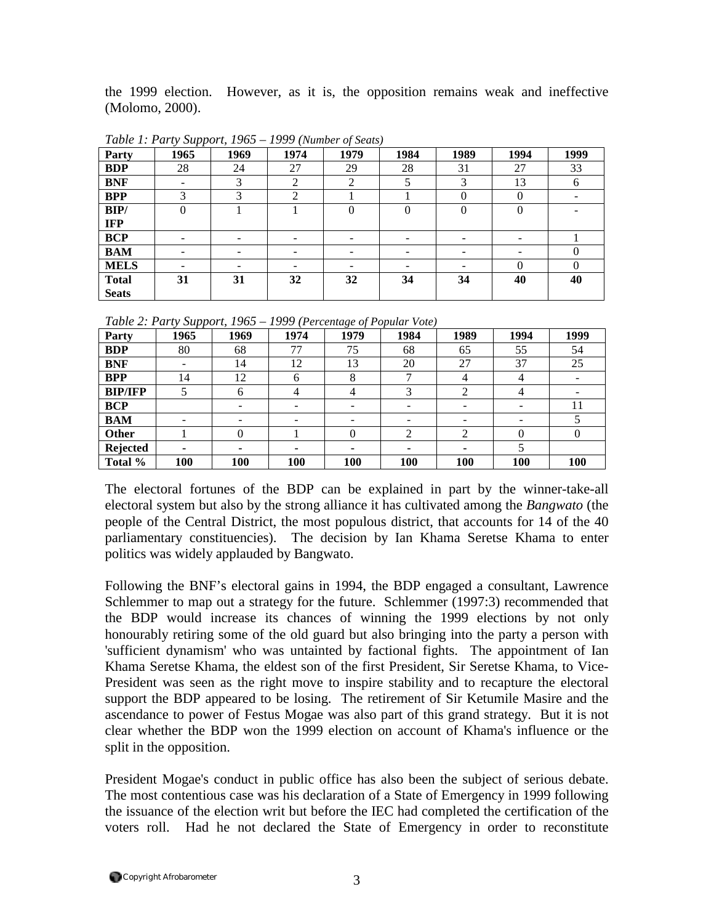the 1999 election. However, as it is, the opposition remains weak and ineffective (Molomo, 2000).

| Party        | $\sim$ $\sim$ $\sim$ $\sim$ $\sim$<br>1965 | 1969 | 1974 | 1979                     | 1984           | 1989                     | 1994     | 1999                     |
|--------------|--------------------------------------------|------|------|--------------------------|----------------|--------------------------|----------|--------------------------|
| <b>BDP</b>   | 28                                         | 24   | 27   | 29                       | 28             | 31                       | 27       | 33                       |
| <b>BNF</b>   | ۰                                          | 3    | ↑    | ∍                        |                | 3                        | 13       | 6                        |
| <b>BPP</b>   | 3                                          | 3    | ◠    |                          |                |                          | 0        | $\overline{\phantom{0}}$ |
| BIP/         | 0                                          |      |      | 0                        | $\overline{0}$ | 0                        | $\theta$ |                          |
| <b>IFP</b>   |                                            |      |      |                          |                |                          |          |                          |
| <b>BCP</b>   | $\overline{\phantom{0}}$                   | -    | -    | $\overline{\phantom{0}}$ | ۰              | $\overline{\phantom{0}}$ | -        |                          |
| <b>BAM</b>   | -                                          |      |      | -                        |                |                          |          | $\theta$                 |
| <b>MELS</b>  | ۰                                          | -    | -    | -                        | -              | -                        | $\theta$ | $\theta$                 |
| <b>Total</b> | 31                                         | 31   | 32   | 32                       | 34             | 34                       | 40       | 40                       |
| <b>Seats</b> |                                            |      |      |                          |                |                          |          |                          |

*Table 1: Party Support, 1965 – 1999 (Number of Seats)* 

*Table 2: Party Support, 1965 – 1999 (Percentage of Popular Vote)* 

| Party           | $\tilde{\phantom{a}}$<br>.<br>1965 | 1969 | 1974       | $\sim$<br>$\cdot$<br>1979 | $\overline{\phantom{a}}$<br>1984 | 1989 | 1994           | 1999       |
|-----------------|------------------------------------|------|------------|---------------------------|----------------------------------|------|----------------|------------|
| <b>BDP</b>      | 80                                 | 68   | 77         | 75                        | 68                               | 65   | 55             | 54         |
| <b>BNF</b>      |                                    | 14   | 12         | 13                        | 20                               | 27   | 37             | 25         |
| <b>BPP</b>      | 14                                 | 12   | 6          | 8                         |                                  | 4    | $\overline{4}$ |            |
| <b>BIP/IFP</b>  |                                    | h    |            | 4                         | 3                                | 2    | 4              |            |
| <b>BCP</b>      |                                    |      | -          | -                         |                                  |      | -              | 11         |
| <b>BAM</b>      |                                    |      |            |                           |                                  |      |                |            |
| Other           |                                    |      |            |                           | ◠                                | ↑    |                |            |
| <b>Rejected</b> | $\overline{\phantom{0}}$           | -    |            |                           |                                  |      |                |            |
| Total %         | 100                                | 100  | <b>100</b> | 100                       | 100                              | 100  | 100            | <b>100</b> |

The electoral fortunes of the BDP can be explained in part by the winner-take-all electoral system but also by the strong alliance it has cultivated among the *Bangwato* (the people of the Central District, the most populous district, that accounts for 14 of the 40 parliamentary constituencies). The decision by Ian Khama Seretse Khama to enter politics was widely applauded by Bangwato.

Following the BNF's electoral gains in 1994, the BDP engaged a consultant, Lawrence Schlemmer to map out a strategy for the future. Schlemmer (1997:3) recommended that the BDP would increase its chances of winning the 1999 elections by not only honourably retiring some of the old guard but also bringing into the party a person with 'sufficient dynamism' who was untainted by factional fights. The appointment of Ian Khama Seretse Khama, the eldest son of the first President, Sir Seretse Khama, to Vice-President was seen as the right move to inspire stability and to recapture the electoral support the BDP appeared to be losing. The retirement of Sir Ketumile Masire and the ascendance to power of Festus Mogae was also part of this grand strategy. But it is not clear whether the BDP won the 1999 election on account of Khama's influence or the split in the opposition.

President Mogae's conduct in public office has also been the subject of serious debate. The most contentious case was his declaration of a State of Emergency in 1999 following the issuance of the election writ but before the IEC had completed the certification of the voters roll. Had he not declared the State of Emergency in order to reconstitute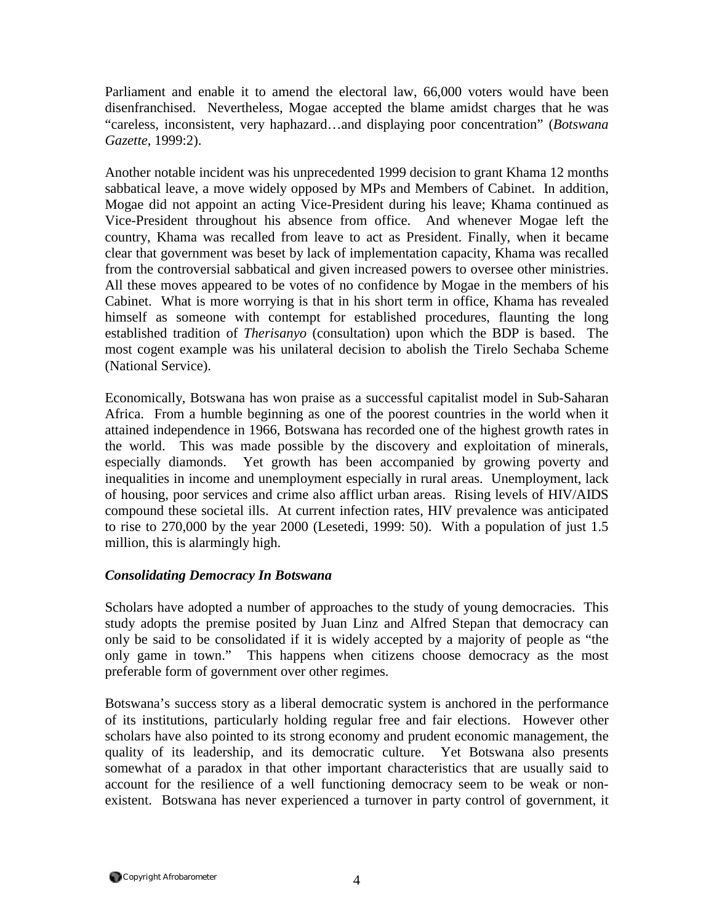Parliament and enable it to amend the electoral law, 66,000 voters would have been disenfranchised. Nevertheless, Mogae accepted the blame amidst charges that he was "careless, inconsistent, very haphazard…and displaying poor concentration" (*Botswana Gazette*, 1999:2).

Another notable incident was his unprecedented 1999 decision to grant Khama 12 months sabbatical leave, a move widely opposed by MPs and Members of Cabinet. In addition, Mogae did not appoint an acting Vice-President during his leave; Khama continued as Vice-President throughout his absence from office. And whenever Mogae left the country, Khama was recalled from leave to act as President. Finally, when it became clear that government was beset by lack of implementation capacity, Khama was recalled from the controversial sabbatical and given increased powers to oversee other ministries. All these moves appeared to be votes of no confidence by Mogae in the members of his Cabinet. What is more worrying is that in his short term in office, Khama has revealed himself as someone with contempt for established procedures, flaunting the long established tradition of *Therisanyo* (consultation) upon which the BDP is based. The most cogent example was his unilateral decision to abolish the Tirelo Sechaba Scheme (National Service).

Economically, Botswana has won praise as a successful capitalist model in Sub-Saharan Africa. From a humble beginning as one of the poorest countries in the world when it attained independence in 1966, Botswana has recorded one of the highest growth rates in the world. This was made possible by the discovery and exploitation of minerals, especially diamonds. Yet growth has been accompanied by growing poverty and inequalities in income and unemployment especially in rural areas. Unemployment, lack of housing, poor services and crime also afflict urban areas. Rising levels of HIV/AIDS compound these societal ills. At current infection rates, HIV prevalence was anticipated to rise to 270,000 by the year 2000 (Lesetedi, 1999: 50). With a population of just 1.5 million, this is alarmingly high.

# *Consolidating Democracy In Botswana*

Scholars have adopted a number of approaches to the study of young democracies. This study adopts the premise posited by Juan Linz and Alfred Stepan that democracy can only be said to be consolidated if it is widely accepted by a majority of people as "the only game in town." This happens when citizens choose democracy as the most preferable form of government over other regimes.

Botswana's success story as a liberal democratic system is anchored in the performance of its institutions, particularly holding regular free and fair elections. However other scholars have also pointed to its strong economy and prudent economic management, the quality of its leadership, and its democratic culture. Yet Botswana also presents somewhat of a paradox in that other important characteristics that are usually said to account for the resilience of a well functioning democracy seem to be weak or nonexistent. Botswana has never experienced a turnover in party control of government, it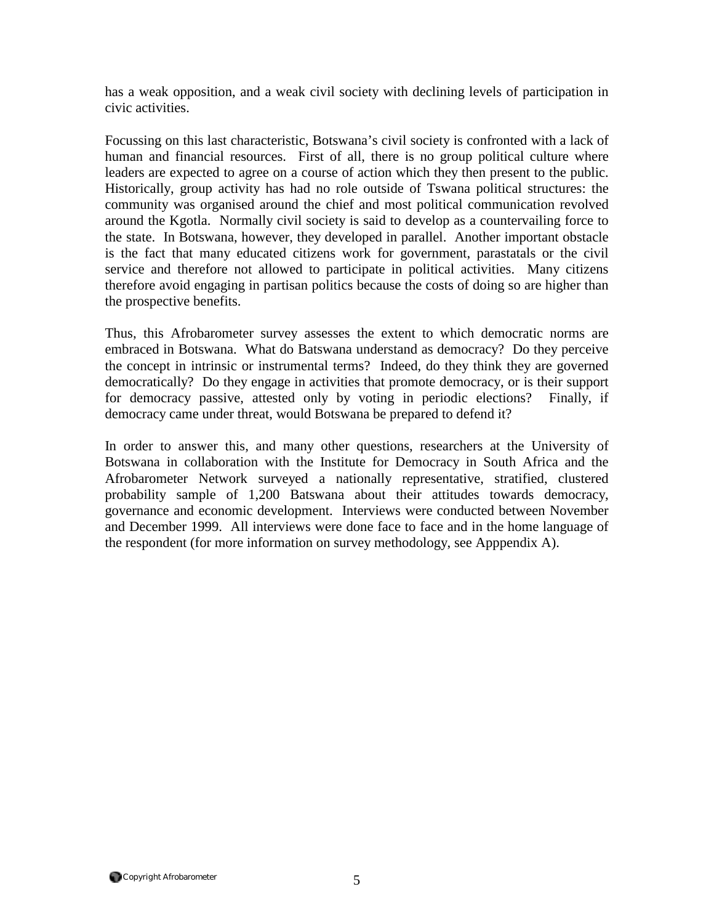has a weak opposition, and a weak civil society with declining levels of participation in civic activities.

Focussing on this last characteristic, Botswana's civil society is confronted with a lack of human and financial resources. First of all, there is no group political culture where leaders are expected to agree on a course of action which they then present to the public. Historically, group activity has had no role outside of Tswana political structures: the community was organised around the chief and most political communication revolved around the Kgotla. Normally civil society is said to develop as a countervailing force to the state. In Botswana, however, they developed in parallel. Another important obstacle is the fact that many educated citizens work for government, parastatals or the civil service and therefore not allowed to participate in political activities. Many citizens therefore avoid engaging in partisan politics because the costs of doing so are higher than the prospective benefits.

Thus, this Afrobarometer survey assesses the extent to which democratic norms are embraced in Botswana. What do Batswana understand as democracy? Do they perceive the concept in intrinsic or instrumental terms? Indeed, do they think they are governed democratically? Do they engage in activities that promote democracy, or is their support for democracy passive, attested only by voting in periodic elections? Finally, if democracy came under threat, would Botswana be prepared to defend it?

In order to answer this, and many other questions, researchers at the University of Botswana in collaboration with the Institute for Democracy in South Africa and the Afrobarometer Network surveyed a nationally representative, stratified, clustered probability sample of 1,200 Batswana about their attitudes towards democracy, governance and economic development. Interviews were conducted between November and December 1999. All interviews were done face to face and in the home language of the respondent (for more information on survey methodology, see Apppendix A).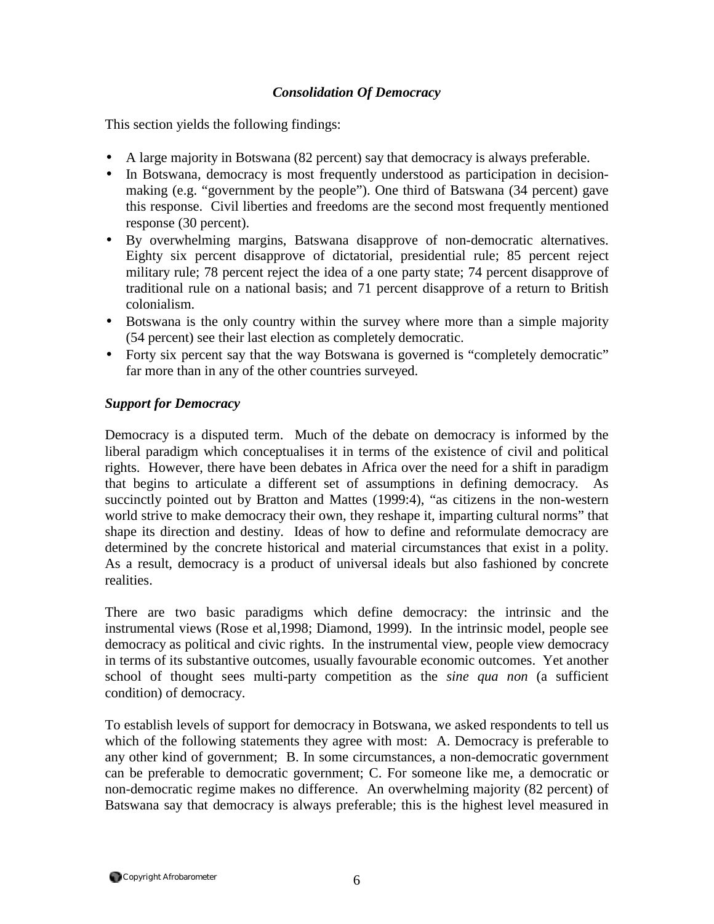# *Consolidation Of Democracy*

This section yields the following findings:

- A large majority in Botswana (82 percent) say that democracy is always preferable.
- In Botswana, democracy is most frequently understood as participation in decisionmaking (e.g. "government by the people"). One third of Batswana (34 percent) gave this response. Civil liberties and freedoms are the second most frequently mentioned response (30 percent).
- By overwhelming margins, Batswana disapprove of non-democratic alternatives. Eighty six percent disapprove of dictatorial, presidential rule; 85 percent reject military rule; 78 percent reject the idea of a one party state; 74 percent disapprove of traditional rule on a national basis; and 71 percent disapprove of a return to British colonialism.
- Botswana is the only country within the survey where more than a simple majority (54 percent) see their last election as completely democratic.
- Forty six percent say that the way Botswana is governed is "completely democratic" far more than in any of the other countries surveyed.

# *Support for Democracy*

Democracy is a disputed term. Much of the debate on democracy is informed by the liberal paradigm which conceptualises it in terms of the existence of civil and political rights. However, there have been debates in Africa over the need for a shift in paradigm that begins to articulate a different set of assumptions in defining democracy. As succinctly pointed out by Bratton and Mattes (1999:4), "as citizens in the non-western world strive to make democracy their own, they reshape it, imparting cultural norms" that shape its direction and destiny. Ideas of how to define and reformulate democracy are determined by the concrete historical and material circumstances that exist in a polity. As a result, democracy is a product of universal ideals but also fashioned by concrete realities.

There are two basic paradigms which define democracy: the intrinsic and the instrumental views (Rose et al,1998; Diamond, 1999). In the intrinsic model, people see democracy as political and civic rights. In the instrumental view, people view democracy in terms of its substantive outcomes, usually favourable economic outcomes. Yet another school of thought sees multi-party competition as the *sine qua non* (a sufficient condition) of democracy.

To establish levels of support for democracy in Botswana, we asked respondents to tell us which of the following statements they agree with most: A. Democracy is preferable to any other kind of government; B. In some circumstances, a non-democratic government can be preferable to democratic government; C. For someone like me, a democratic or non-democratic regime makes no difference. An overwhelming majority (82 percent) of Batswana say that democracy is always preferable; this is the highest level measured in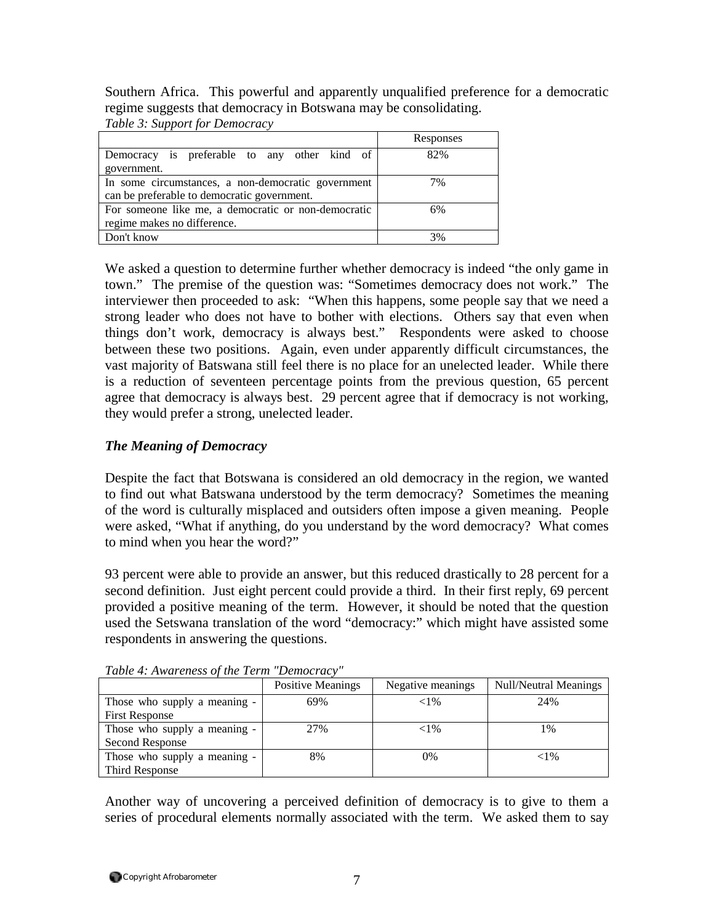Southern Africa. This powerful and apparently unqualified preference for a democratic regime suggests that democracy in Botswana may be consolidating.

| Table 3: Support for Democracy |  |
|--------------------------------|--|
|--------------------------------|--|

|                                                     | Responses |
|-----------------------------------------------------|-----------|
| Democracy is preferable to any other kind of        | 82%       |
| government.                                         |           |
| In some circumstances, a non-democratic government  | 7%        |
| can be preferable to democratic government.         |           |
| For someone like me, a democratic or non-democratic | 6%        |
| regime makes no difference.                         |           |
| Don't know                                          | 3%        |

We asked a question to determine further whether democracy is indeed "the only game in town." The premise of the question was: "Sometimes democracy does not work." The interviewer then proceeded to ask: "When this happens, some people say that we need a strong leader who does not have to bother with elections. Others say that even when things don't work, democracy is always best." Respondents were asked to choose between these two positions. Again, even under apparently difficult circumstances, the vast majority of Batswana still feel there is no place for an unelected leader. While there is a reduction of seventeen percentage points from the previous question, 65 percent agree that democracy is always best. 29 percent agree that if democracy is not working, they would prefer a strong, unelected leader.

# *The Meaning of Democracy*

Despite the fact that Botswana is considered an old democracy in the region, we wanted to find out what Batswana understood by the term democracy? Sometimes the meaning of the word is culturally misplaced and outsiders often impose a given meaning. People were asked, "What if anything, do you understand by the word democracy? What comes to mind when you hear the word?"

93 percent were able to provide an answer, but this reduced drastically to 28 percent for a second definition. Just eight percent could provide a third. In their first reply, 69 percent provided a positive meaning of the term. However, it should be noted that the question used the Setswana translation of the word "democracy:" which might have assisted some respondents in answering the questions.

|                              | <b>Positive Meanings</b> | Negative meanings | Null/Neutral Meanings |
|------------------------------|--------------------------|-------------------|-----------------------|
| Those who supply a meaning - | 69%                      | ${<}1\%$          | 24%                   |
| <b>First Response</b>        |                          |                   |                       |
| Those who supply a meaning - | 27%                      | ${<}1\%$          | 1%                    |
| Second Response              |                          |                   |                       |
| Those who supply a meaning - | 8%                       | $0\%$             | ${<}1\%$              |
| Third Response               |                          |                   |                       |

*Table 4: Awareness of the Term "Democracy"* 

Another way of uncovering a perceived definition of democracy is to give to them a series of procedural elements normally associated with the term. We asked them to say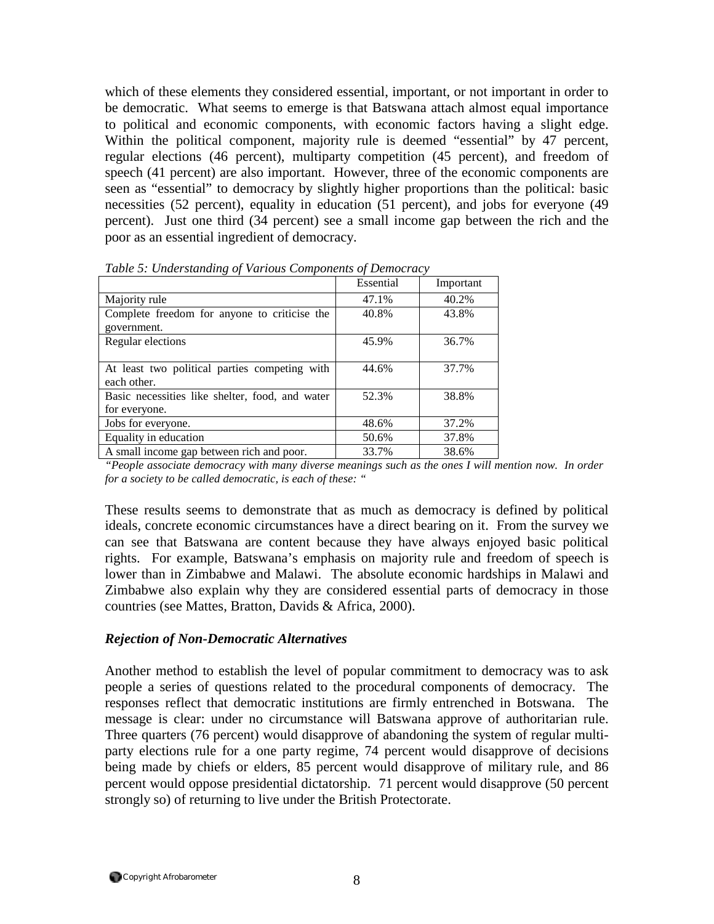which of these elements they considered essential, important, or not important in order to be democratic. What seems to emerge is that Batswana attach almost equal importance to political and economic components, with economic factors having a slight edge. Within the political component, majority rule is deemed "essential" by 47 percent, regular elections (46 percent), multiparty competition (45 percent), and freedom of speech (41 percent) are also important. However, three of the economic components are seen as "essential" to democracy by slightly higher proportions than the political: basic necessities (52 percent), equality in education (51 percent), and jobs for everyone (49 percent). Just one third (34 percent) see a small income gap between the rich and the poor as an essential ingredient of democracy.

|                                                                  | Essential | Important |
|------------------------------------------------------------------|-----------|-----------|
| Majority rule                                                    | 47.1%     | 40.2%     |
| Complete freedom for anyone to criticise the<br>government.      | 40.8%     | 43.8%     |
| Regular elections                                                | 45.9%     | 36.7%     |
| At least two political parties competing with<br>each other.     | 44.6%     | 37.7%     |
| Basic necessities like shelter, food, and water<br>for everyone. | 52.3%     | 38.8%     |
| Jobs for everyone.                                               | 48.6%     | 37.2%     |
| Equality in education                                            | 50.6%     | 37.8%     |
| A small income gap between rich and poor.                        | 33.7%     | 38.6%     |

*Table 5: Understanding of Various Components of Democracy* 

*"People associate democracy with many diverse meanings such as the ones I will mention now. In order for a society to be called democratic, is each of these: "* 

These results seems to demonstrate that as much as democracy is defined by political ideals, concrete economic circumstances have a direct bearing on it. From the survey we can see that Batswana are content because they have always enjoyed basic political rights. For example, Batswana's emphasis on majority rule and freedom of speech is lower than in Zimbabwe and Malawi. The absolute economic hardships in Malawi and Zimbabwe also explain why they are considered essential parts of democracy in those countries (see Mattes, Bratton, Davids & Africa, 2000).

### *Rejection of Non-Democratic Alternatives*

Another method to establish the level of popular commitment to democracy was to ask people a series of questions related to the procedural components of democracy. The responses reflect that democratic institutions are firmly entrenched in Botswana. The message is clear: under no circumstance will Batswana approve of authoritarian rule. Three quarters (76 percent) would disapprove of abandoning the system of regular multiparty elections rule for a one party regime, 74 percent would disapprove of decisions being made by chiefs or elders, 85 percent would disapprove of military rule, and 86 percent would oppose presidential dictatorship. 71 percent would disapprove (50 percent strongly so) of returning to live under the British Protectorate.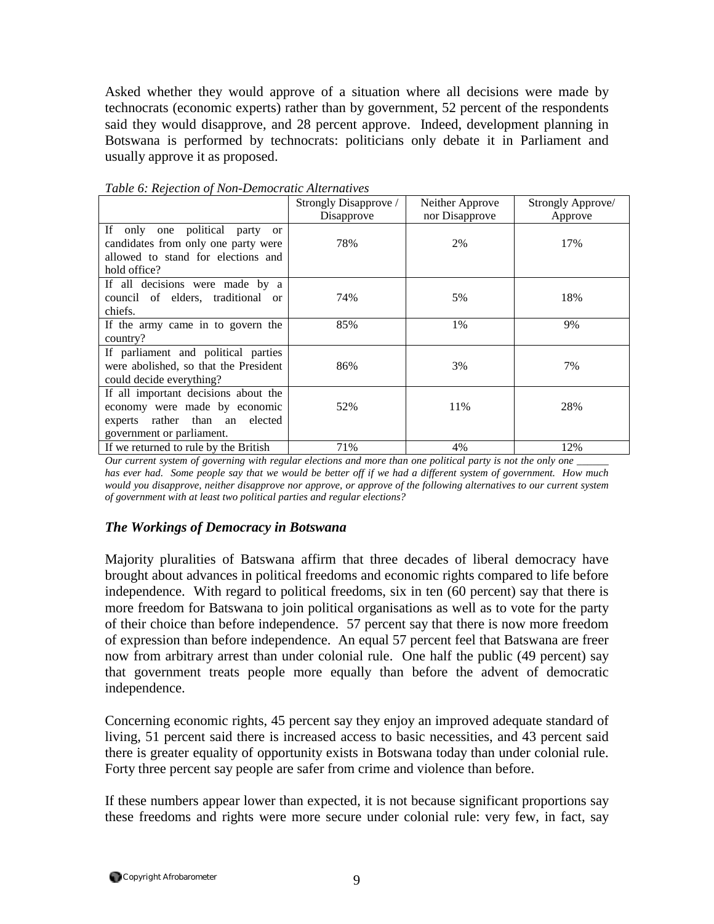Asked whether they would approve of a situation where all decisions were made by technocrats (economic experts) rather than by government, 52 percent of the respondents said they would disapprove, and 28 percent approve. Indeed, development planning in Botswana is performed by technocrats: politicians only debate it in Parliament and usually approve it as proposed.

|                                       | Strongly Disapprove /<br>Disapprove | Neither Approve<br>nor Disapprove | Strongly Approve/<br>Approve |
|---------------------------------------|-------------------------------------|-----------------------------------|------------------------------|
| If only one political party<br>or     |                                     |                                   |                              |
| candidates from only one party were   | 78%                                 | 2%                                | 17%                          |
| allowed to stand for elections and    |                                     |                                   |                              |
| hold office?                          |                                     |                                   |                              |
| If all decisions were made by a       |                                     |                                   |                              |
| council of elders, traditional or     | 74%                                 | 5%                                | 18%                          |
| chiefs.                               |                                     |                                   |                              |
| If the army came in to govern the     | 85%                                 | 1%                                | 9%                           |
| country?                              |                                     |                                   |                              |
| If parliament and political parties   |                                     |                                   |                              |
| were abolished, so that the President | 86%                                 | 3%                                | 7%                           |
| could decide everything?              |                                     |                                   |                              |
| If all important decisions about the  |                                     |                                   |                              |
| economy were made by economic         | 52%                                 | 11%                               | 28%                          |
| experts rather than an elected        |                                     |                                   |                              |
| government or parliament.             |                                     |                                   |                              |
| If we returned to rule by the British | 71%                                 | 4%                                | 12%                          |

*Table 6: Rejection of Non-Democratic Alternatives* 

*Our current system of governing with regular elections and more than one political party is not the only one has ever had. Some people say that we would be better off if we had a different system of government. How much would you disapprove, neither disapprove nor approve, or approve of the following alternatives to our current system of government with at least two political parties and regular elections?* 

# *The Workings of Democracy in Botswana*

Majority pluralities of Batswana affirm that three decades of liberal democracy have brought about advances in political freedoms and economic rights compared to life before independence. With regard to political freedoms, six in ten (60 percent) say that there is more freedom for Batswana to join political organisations as well as to vote for the party of their choice than before independence. 57 percent say that there is now more freedom of expression than before independence. An equal 57 percent feel that Batswana are freer now from arbitrary arrest than under colonial rule. One half the public (49 percent) say that government treats people more equally than before the advent of democratic independence.

Concerning economic rights, 45 percent say they enjoy an improved adequate standard of living, 51 percent said there is increased access to basic necessities, and 43 percent said there is greater equality of opportunity exists in Botswana today than under colonial rule. Forty three percent say people are safer from crime and violence than before.

If these numbers appear lower than expected, it is not because significant proportions say these freedoms and rights were more secure under colonial rule: very few, in fact, say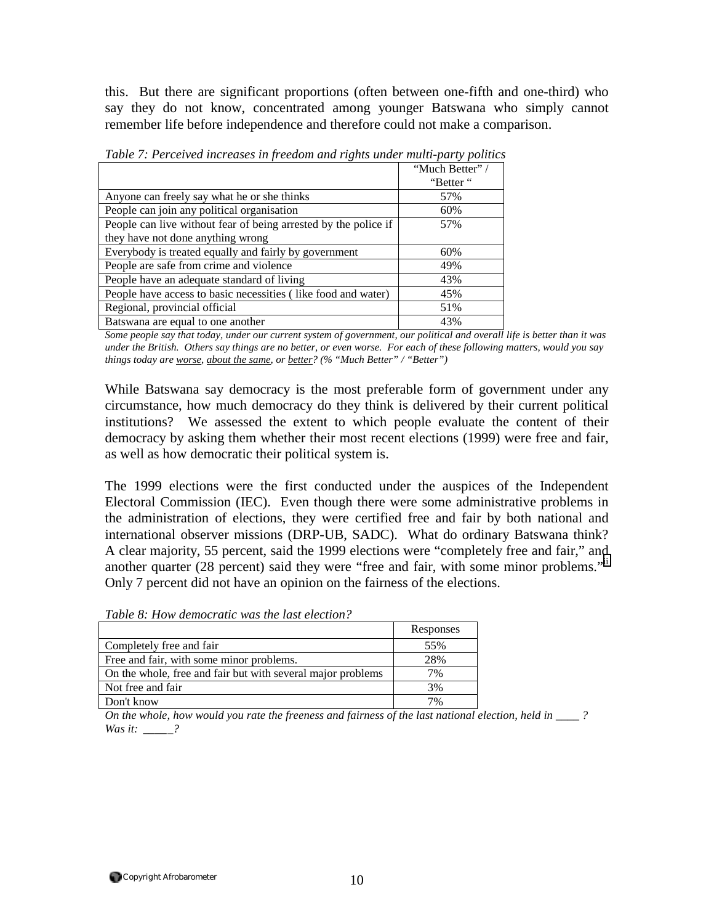this. But there are significant proportions (often between one-fifth and one-third) who say they do not know, concentrated among younger Batswana who simply cannot remember life before independence and therefore could not make a comparison.

|                                                                 | "Much Better" |
|-----------------------------------------------------------------|---------------|
|                                                                 | "Better"      |
| Anyone can freely say what he or she thinks                     | 57%           |
| People can join any political organisation                      | 60%           |
| People can live without fear of being arrested by the police if | 57%           |
| they have not done anything wrong                               |               |
| Everybody is treated equally and fairly by government           | 60%           |
| People are safe from crime and violence                         | 49%           |
| People have an adequate standard of living                      | 43%           |
| People have access to basic necessities (like food and water)   | 45%           |
| Regional, provincial official                                   | 51%           |
| Batswana are equal to one another                               | 43%           |

*Table 7: Perceived increases in freedom and rights under multi-party politics* 

*Some people say that today, under our current system of government, our political and overall life is better than it was under the British. Others say things are no better, or even worse. For each of these following matters, would you say things today are worse, about the same, or better? (% "Much Better" / "Better")* 

While Batswana say democracy is the most preferable form of government under any circumstance, how much democracy do they think is delivered by their current political institutions? We assessed the extent to which people evaluate the content of their democracy by asking them whether their most recent elections (1999) were free and fair, as well as how democratic their political system is.

The 1999 elections were the first conducted under the auspices of the Independent Electoral Commission (IEC). Even though there were some administrative problems in the administration of elections, they were certified free and fair by both national and international observer missions (DRP-UB, SADC). What do ordinary Batswana think? A clear majority, 55 percent, said the 1999 elections were "completely free and fair," and another quarter (28 percent) said they were "free and fair, with some minor problems."<sup>[ii](#page-38-0)</sup> Only 7 percent did not have an opinion on the fairness of the elections.

*Table 8: How democratic was the last election?* 

|                                                             | Responses |
|-------------------------------------------------------------|-----------|
| Completely free and fair                                    | 55%       |
| Free and fair, with some minor problems.                    | 28%       |
| On the whole, free and fair but with several major problems | 7%        |
| Not free and fair                                           | 3%        |
| Don't know                                                  | 7%        |

*On the whole, how would you rate the freeness and fairness of the last national election, held in \_\_\_\_ ? Was it: \_\_\_\_\_?*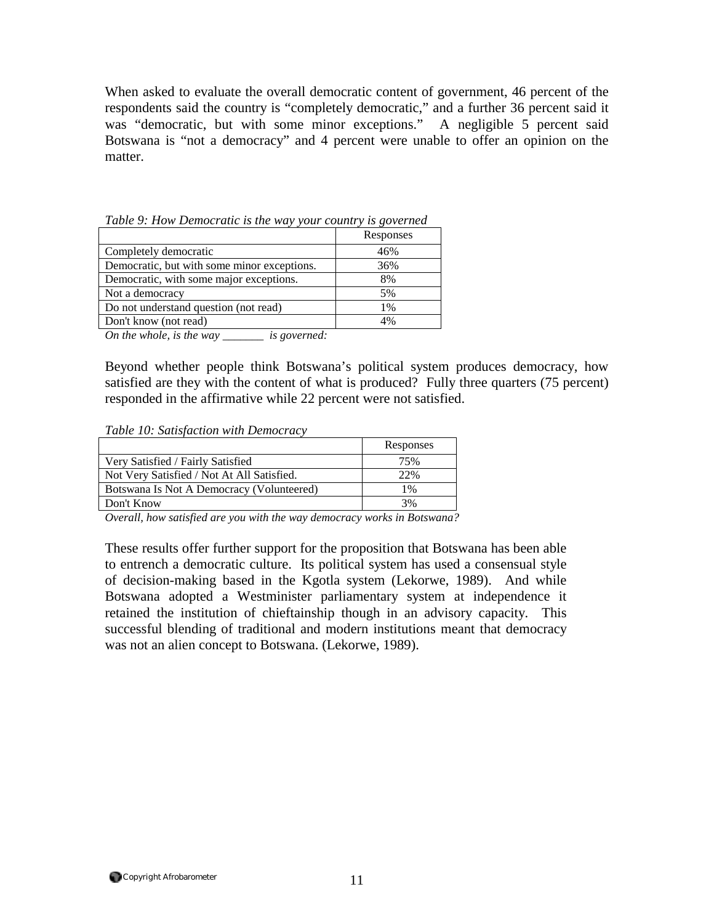When asked to evaluate the overall democratic content of government, 46 percent of the respondents said the country is "completely democratic," and a further 36 percent said it was "democratic, but with some minor exceptions." A negligible 5 percent said Botswana is "not a democracy" and 4 percent were unable to offer an opinion on the matter.

|                                             | Responses |
|---------------------------------------------|-----------|
| Completely democratic                       | 46%       |
| Democratic, but with some minor exceptions. | 36%       |
| Democratic, with some major exceptions.     | 8%        |
| Not a democracy                             | 5%        |
| Do not understand question (not read)       | 1%        |
| Don't know (not read)                       | 4%        |

*Table 9: How Democratic is the way your country is governed* 

*On the whole, is the way \_\_\_\_\_\_\_ is governed:* 

Beyond whether people think Botswana's political system produces democracy, how satisfied are they with the content of what is produced? Fully three quarters (75 percent) responded in the affirmative while 22 percent were not satisfied.

*Table 10: Satisfaction with Democracy* 

|                                              | Responses |
|----------------------------------------------|-----------|
| Very Satisfied / Fairly Satisfied            | 75%       |
| Not Very Satisfied / Not At All Satisfied.   | 22%       |
| Botswana Is Not A Democracy (Volunteered)    | $1\%$     |
| Don't Know                                   | 3%        |
| .<br>- - -<br>$\sim$ $\sim$ $\sim$<br>$\sim$ | .         |

*Overall, how satisfied are you with the way democracy works in Botswana?* 

These results offer further support for the proposition that Botswana has been able to entrench a democratic culture. Its political system has used a consensual style of decision-making based in the Kgotla system (Lekorwe, 1989). And while Botswana adopted a Westminister parliamentary system at independence it retained the institution of chieftainship though in an advisory capacity. This successful blending of traditional and modern institutions meant that democracy was not an alien concept to Botswana. (Lekorwe, 1989).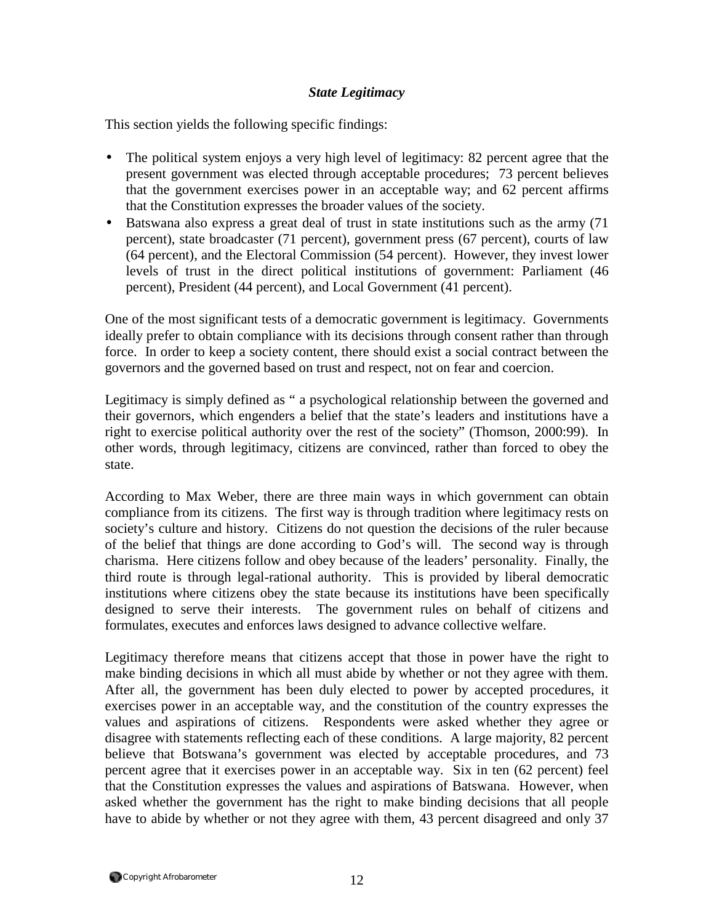# *State Legitimacy*

This section yields the following specific findings:

- The political system enjoys a very high level of legitimacy: 82 percent agree that the present government was elected through acceptable procedures; 73 percent believes that the government exercises power in an acceptable way; and 62 percent affirms that the Constitution expresses the broader values of the society.
- Batswana also express a great deal of trust in state institutions such as the army (71 percent), state broadcaster (71 percent), government press (67 percent), courts of law (64 percent), and the Electoral Commission (54 percent). However, they invest lower levels of trust in the direct political institutions of government: Parliament (46 percent), President (44 percent), and Local Government (41 percent).

One of the most significant tests of a democratic government is legitimacy. Governments ideally prefer to obtain compliance with its decisions through consent rather than through force. In order to keep a society content, there should exist a social contract between the governors and the governed based on trust and respect, not on fear and coercion.

Legitimacy is simply defined as " a psychological relationship between the governed and their governors, which engenders a belief that the state's leaders and institutions have a right to exercise political authority over the rest of the society" (Thomson, 2000:99). In other words, through legitimacy, citizens are convinced, rather than forced to obey the state.

According to Max Weber, there are three main ways in which government can obtain compliance from its citizens. The first way is through tradition where legitimacy rests on society's culture and history. Citizens do not question the decisions of the ruler because of the belief that things are done according to God's will. The second way is through charisma. Here citizens follow and obey because of the leaders' personality. Finally, the third route is through legal-rational authority. This is provided by liberal democratic institutions where citizens obey the state because its institutions have been specifically designed to serve their interests. The government rules on behalf of citizens and formulates, executes and enforces laws designed to advance collective welfare.

Legitimacy therefore means that citizens accept that those in power have the right to make binding decisions in which all must abide by whether or not they agree with them. After all, the government has been duly elected to power by accepted procedures, it exercises power in an acceptable way, and the constitution of the country expresses the values and aspirations of citizens. Respondents were asked whether they agree or disagree with statements reflecting each of these conditions. A large majority, 82 percent believe that Botswana's government was elected by acceptable procedures, and 73 percent agree that it exercises power in an acceptable way. Six in ten (62 percent) feel that the Constitution expresses the values and aspirations of Batswana. However, when asked whether the government has the right to make binding decisions that all people have to abide by whether or not they agree with them, 43 percent disagreed and only 37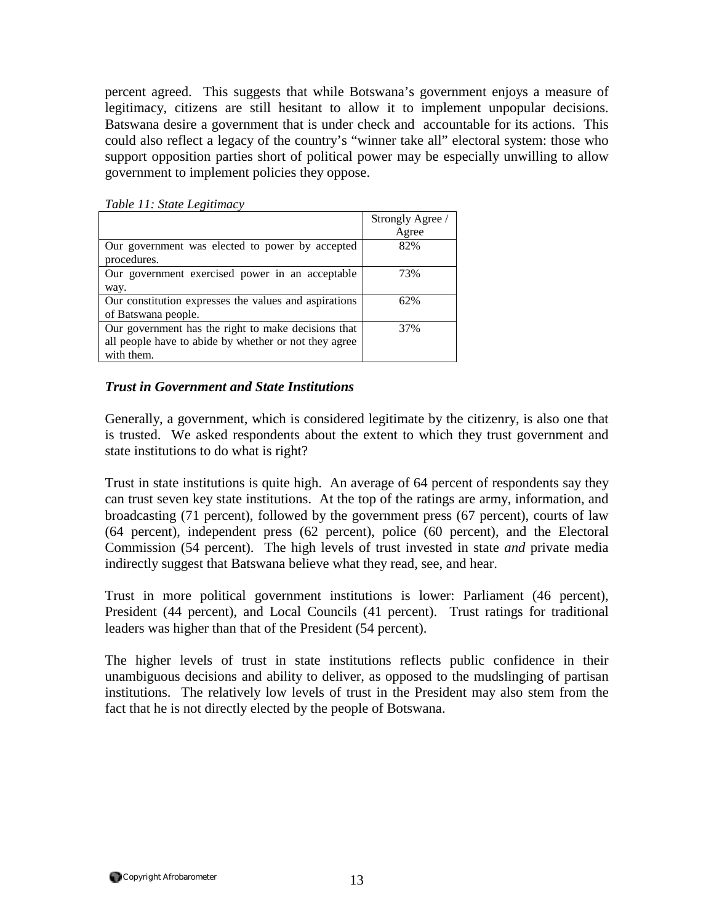percent agreed. This suggests that while Botswana's government enjoys a measure of legitimacy, citizens are still hesitant to allow it to implement unpopular decisions. Batswana desire a government that is under check and accountable for its actions. This could also reflect a legacy of the country's "winner take all" electoral system: those who support opposition parties short of political power may be especially unwilling to allow government to implement policies they oppose.

|                                                       | Strongly Agree /<br>Agree |
|-------------------------------------------------------|---------------------------|
| Our government was elected to power by accepted       | 82%                       |
| procedures.                                           |                           |
| Our government exercised power in an acceptable       | 73%                       |
| way.                                                  |                           |
| Our constitution expresses the values and aspirations | 62%                       |
| of Batswana people.                                   |                           |
| Our government has the right to make decisions that   | 37%                       |
| all people have to abide by whether or not they agree |                           |
| with them.                                            |                           |

*Table 11: State Legitimacy* 

# *Trust in Government and State Institutions*

Generally, a government, which is considered legitimate by the citizenry, is also one that is trusted. We asked respondents about the extent to which they trust government and state institutions to do what is right?

Trust in state institutions is quite high. An average of 64 percent of respondents say they can trust seven key state institutions. At the top of the ratings are army, information, and broadcasting (71 percent), followed by the government press (67 percent), courts of law (64 percent), independent press (62 percent), police (60 percent), and the Electoral Commission (54 percent). The high levels of trust invested in state *and* private media indirectly suggest that Batswana believe what they read, see, and hear.

Trust in more political government institutions is lower: Parliament (46 percent), President (44 percent), and Local Councils (41 percent). Trust ratings for traditional leaders was higher than that of the President (54 percent).

The higher levels of trust in state institutions reflects public confidence in their unambiguous decisions and ability to deliver, as opposed to the mudslinging of partisan institutions. The relatively low levels of trust in the President may also stem from the fact that he is not directly elected by the people of Botswana.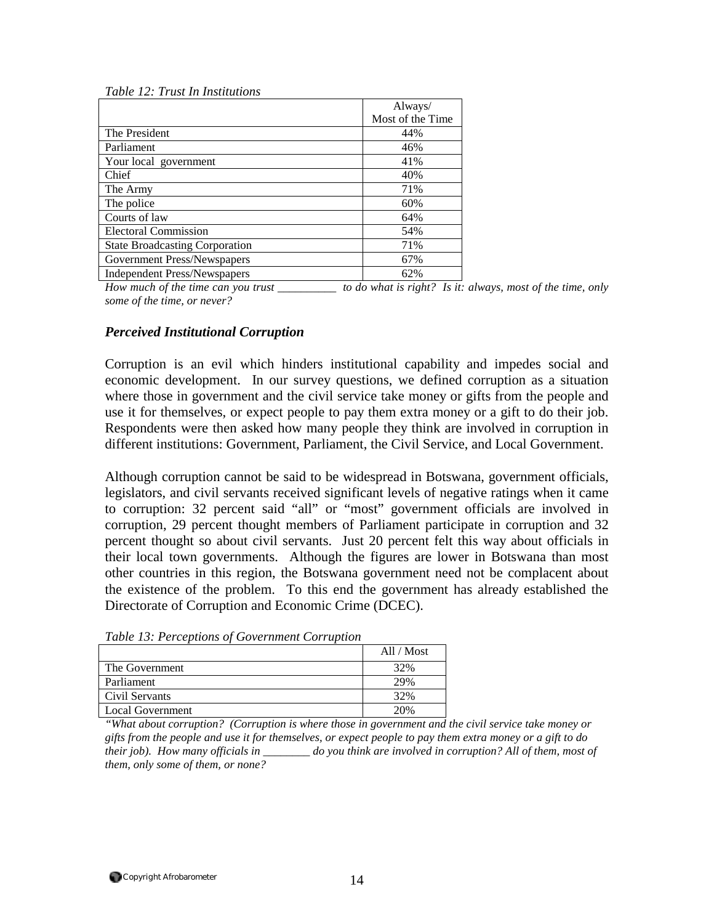#### *Table 12: Trust In Institutions*

|                                       | Always/          |
|---------------------------------------|------------------|
|                                       | Most of the Time |
| The President                         | 44%              |
| Parliament                            | 46%              |
| Your local government                 | 41%              |
| Chief                                 | 40%              |
| The Army                              | 71%              |
| The police                            | 60%              |
| Courts of law                         | 64%              |
| <b>Electoral Commission</b>           | 54%              |
| <b>State Broadcasting Corporation</b> | 71%              |
| Government Press/Newspapers           | 67%              |
| <b>Independent Press/Newspapers</b>   | 62%              |

*How much of the time can you trust \_\_\_\_\_\_\_\_\_\_ to do what is right? Is it: always, most of the time, only some of the time, or never?* 

### *Perceived Institutional Corruption*

Corruption is an evil which hinders institutional capability and impedes social and economic development. In our survey questions, we defined corruption as a situation where those in government and the civil service take money or gifts from the people and use it for themselves, or expect people to pay them extra money or a gift to do their job. Respondents were then asked how many people they think are involved in corruption in different institutions: Government, Parliament, the Civil Service, and Local Government.

Although corruption cannot be said to be widespread in Botswana, government officials, legislators, and civil servants received significant levels of negative ratings when it came to corruption: 32 percent said "all" or "most" government officials are involved in corruption, 29 percent thought members of Parliament participate in corruption and 32 percent thought so about civil servants. Just 20 percent felt this way about officials in their local town governments. Although the figures are lower in Botswana than most other countries in this region, the Botswana government need not be complacent about the existence of the problem. To this end the government has already established the Directorate of Corruption and Economic Crime (DCEC).

| Tubic 19. I creephons of Government Corruption |            |
|------------------------------------------------|------------|
|                                                | All / Most |
| The Government                                 | 32%        |
| Parliament                                     | 29%        |
| Civil Servants                                 | 32%        |
| Local Government                               | 20%        |

*Table 13: Perceptions of Government Corruption* 

*"What about corruption? (Corruption is where those in government and the civil service take money or gifts from the people and use it for themselves, or expect people to pay them extra money or a gift to do their job). How many officials in \_\_\_\_\_\_\_\_ do you think are involved in corruption? All of them, most of them, only some of them, or none?*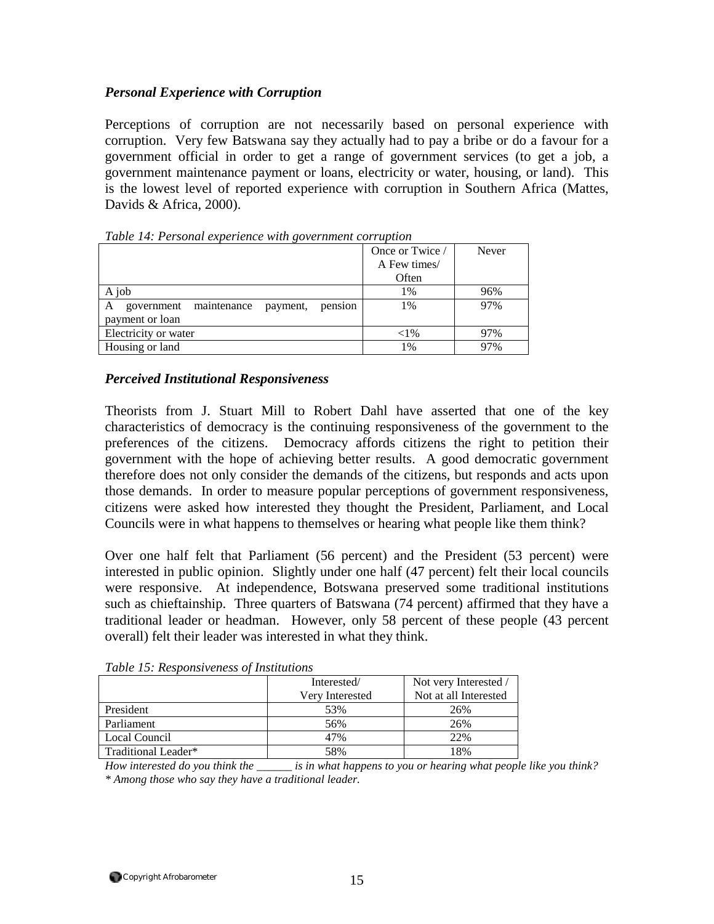# *Personal Experience with Corruption*

Perceptions of corruption are not necessarily based on personal experience with corruption. Very few Batswana say they actually had to pay a bribe or do a favour for a government official in order to get a range of government services (to get a job, a government maintenance payment or loans, electricity or water, housing, or land). This is the lowest level of reported experience with corruption in Southern Africa (Mattes, Davids & Africa, 2000).

|                                                       | Once or Twice / | Never |
|-------------------------------------------------------|-----------------|-------|
|                                                       | A Few times/    |       |
|                                                       | Often           |       |
| A job                                                 | 1%              | 96%   |
| maintenance<br>A<br>government<br>payment,<br>pension | 1%              | 97%   |
| payment or loan                                       |                 |       |
| Electricity or water                                  | ${<}1\%$        | 97%   |
| Housing or land                                       | 1%              | 97%   |

*Table 14: Personal experience with government corruption* 

# *Perceived Institutional Responsiveness*

Theorists from J. Stuart Mill to Robert Dahl have asserted that one of the key characteristics of democracy is the continuing responsiveness of the government to the preferences of the citizens. Democracy affords citizens the right to petition their government with the hope of achieving better results. A good democratic government therefore does not only consider the demands of the citizens, but responds and acts upon those demands. In order to measure popular perceptions of government responsiveness, citizens were asked how interested they thought the President, Parliament, and Local Councils were in what happens to themselves or hearing what people like them think?

Over one half felt that Parliament (56 percent) and the President (53 percent) were interested in public opinion. Slightly under one half (47 percent) felt their local councils were responsive. At independence, Botswana preserved some traditional institutions such as chieftainship. Three quarters of Batswana (74 percent) affirmed that they have a traditional leader or headman. However, only 58 percent of these people (43 percent overall) felt their leader was interested in what they think.

| Tubic 19. Responsiveness of Institutions |                 |                       |  |
|------------------------------------------|-----------------|-----------------------|--|
|                                          | Interested/     | Not very Interested / |  |
|                                          | Very Interested | Not at all Interested |  |
| President                                | 53%             | 26%                   |  |
| Parliament                               | 56%             | 26%                   |  |
| Local Council                            | 47%             | 22%                   |  |
| Traditional Leader*                      | 58%             | 18%                   |  |

*Table 15: Responsiveness of Institutions* 

*How interested do you think the \_\_\_\_\_\_ is in what happens to you or hearing what people like you think? \* Among those who say they have a traditional leader.*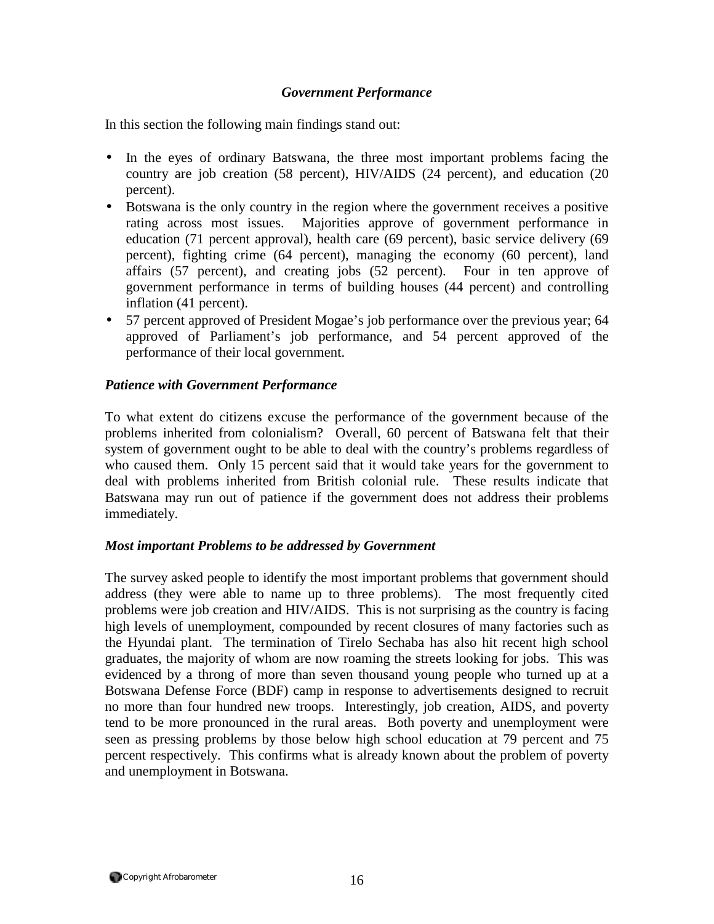# *Government Performance*

In this section the following main findings stand out:

- In the eyes of ordinary Batswana, the three most important problems facing the country are job creation (58 percent), HIV/AIDS (24 percent), and education (20 percent).
- Botswana is the only country in the region where the government receives a positive rating across most issues. Majorities approve of government performance in education (71 percent approval), health care (69 percent), basic service delivery (69 percent), fighting crime (64 percent), managing the economy (60 percent), land affairs (57 percent), and creating jobs (52 percent). Four in ten approve of government performance in terms of building houses (44 percent) and controlling inflation (41 percent).
- 57 percent approved of President Mogae's job performance over the previous year; 64 approved of Parliament's job performance, and 54 percent approved of the performance of their local government.

# *Patience with Government Performance*

To what extent do citizens excuse the performance of the government because of the problems inherited from colonialism? Overall, 60 percent of Batswana felt that their system of government ought to be able to deal with the country's problems regardless of who caused them. Only 15 percent said that it would take years for the government to deal with problems inherited from British colonial rule. These results indicate that Batswana may run out of patience if the government does not address their problems immediately.

# *Most important Problems to be addressed by Government*

The survey asked people to identify the most important problems that government should address (they were able to name up to three problems). The most frequently cited problems were job creation and HIV/AIDS. This is not surprising as the country is facing high levels of unemployment, compounded by recent closures of many factories such as the Hyundai plant. The termination of Tirelo Sechaba has also hit recent high school graduates, the majority of whom are now roaming the streets looking for jobs. This was evidenced by a throng of more than seven thousand young people who turned up at a Botswana Defense Force (BDF) camp in response to advertisements designed to recruit no more than four hundred new troops. Interestingly, job creation, AIDS, and poverty tend to be more pronounced in the rural areas. Both poverty and unemployment were seen as pressing problems by those below high school education at 79 percent and 75 percent respectively. This confirms what is already known about the problem of poverty and unemployment in Botswana.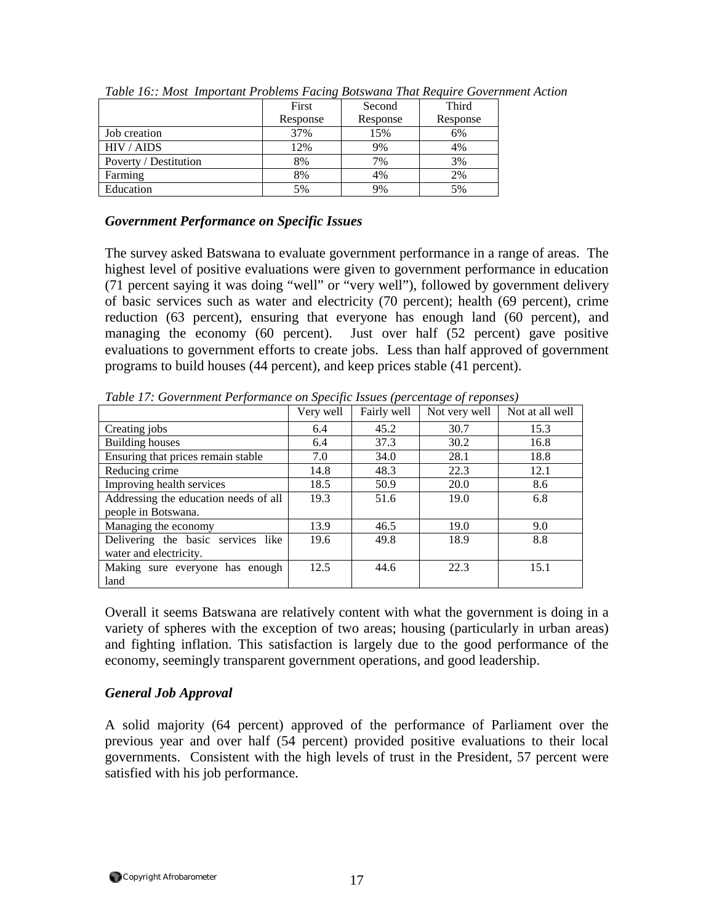|                       | First    | Second   | Third    |
|-----------------------|----------|----------|----------|
|                       | Response | Response | Response |
| Job creation          | 37%      | 15%      | 6%       |
| HIV / AIDS            | 12%      | 9%       | 4%       |
| Poverty / Destitution | 8%       | 7%       | 3%       |
| Farming               | 8%       | 4%       | 2%       |
| Education             | 5%       | 9%       | 5%       |

*Table 16:: Most Important Problems Facing Botswana That Require Government Action* 

# *Government Performance on Specific Issues*

The survey asked Batswana to evaluate government performance in a range of areas. The highest level of positive evaluations were given to government performance in education (71 percent saying it was doing "well" or "very well"), followed by government delivery of basic services such as water and electricity (70 percent); health (69 percent), crime reduction (63 percent), ensuring that everyone has enough land (60 percent), and managing the economy (60 percent). Just over half (52 percent) gave positive evaluations to government efforts to create jobs. Less than half approved of government programs to build houses (44 percent), and keep prices stable (41 percent).

|                                       | Very well | Fairly well | Not very well | Not at all well |
|---------------------------------------|-----------|-------------|---------------|-----------------|
| Creating jobs                         | 6.4       | 45.2        | 30.7          | 15.3            |
| <b>Building houses</b>                | 6.4       | 37.3        | 30.2          | 16.8            |
| Ensuring that prices remain stable    | 7.0       | 34.0        | 28.1          | 18.8            |
| Reducing crime                        | 14.8      | 48.3        | 22.3          | 12.1            |
| Improving health services             | 18.5      | 50.9        | 20.0          | 8.6             |
| Addressing the education needs of all | 19.3      | 51.6        | 19.0          | 6.8             |
| people in Botswana.                   |           |             |               |                 |
| Managing the economy                  | 13.9      | 46.5        | 19.0          | 9.0             |
| Delivering the basic services like    | 19.6      | 49.8        | 18.9          | 8.8             |
| water and electricity.                |           |             |               |                 |
| Making sure everyone has enough       | 12.5      | 44.6        | 22.3          | 15.1            |
| land                                  |           |             |               |                 |

*Table 17: Government Performance on Specific Issues (percentage of reponses)* 

Overall it seems Batswana are relatively content with what the government is doing in a variety of spheres with the exception of two areas; housing (particularly in urban areas) and fighting inflation. This satisfaction is largely due to the good performance of the economy, seemingly transparent government operations, and good leadership.

# *General Job Approval*

A solid majority (64 percent) approved of the performance of Parliament over the previous year and over half (54 percent) provided positive evaluations to their local governments. Consistent with the high levels of trust in the President, 57 percent were satisfied with his job performance.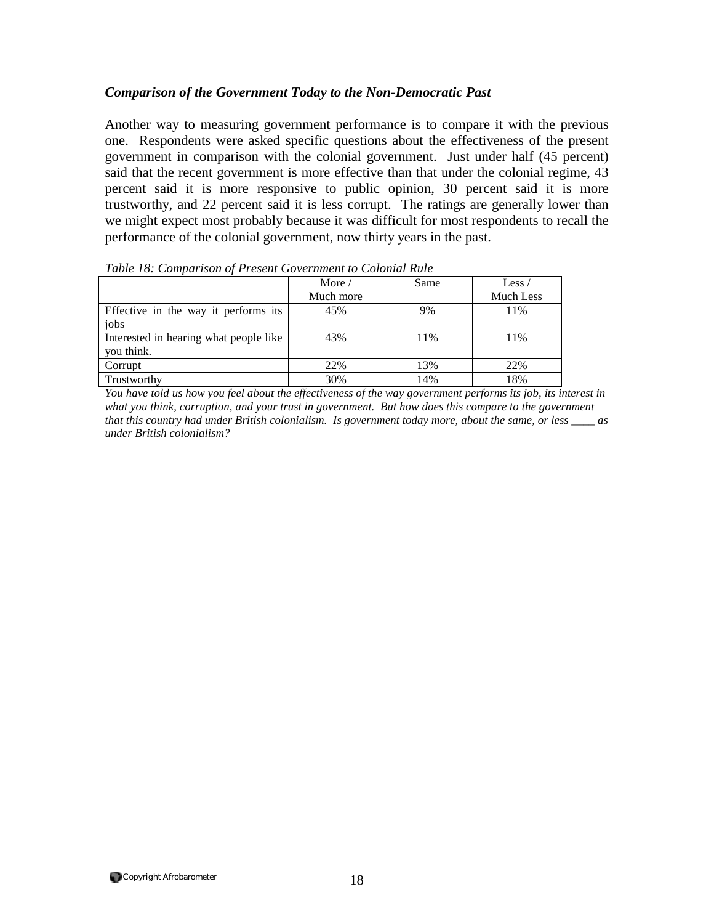# *Comparison of the Government Today to the Non-Democratic Past*

Another way to measuring government performance is to compare it with the previous one. Respondents were asked specific questions about the effectiveness of the present government in comparison with the colonial government. Just under half (45 percent) said that the recent government is more effective than that under the colonial regime, 43 percent said it is more responsive to public opinion, 30 percent said it is more trustworthy, and 22 percent said it is less corrupt. The ratings are generally lower than we might expect most probably because it was difficult for most respondents to recall the performance of the colonial government, now thirty years in the past.

|                                        | More $/$  | Same | Less $\sqrt{ }$ |
|----------------------------------------|-----------|------|-----------------|
|                                        | Much more |      | Much Less       |
| Effective in the way it performs its   | 45%       | 9%   | 11%             |
| jobs                                   |           |      |                 |
| Interested in hearing what people like | 43%       | 11%  | 11%             |
| you think.                             |           |      |                 |
| Corrupt                                | 22%       | 13%  | 22%             |
| Trustworthy                            | 30%       | 14%  | 18%             |

*Table 18: Comparison of Present Government to Colonial Rule* 

*You have told us how you feel about the effectiveness of the way government performs its job, its interest in what you think, corruption, and your trust in government. But how does this compare to the government that this country had under British colonialism. Is government today more, about the same, or less \_\_\_\_ as under British colonialism?*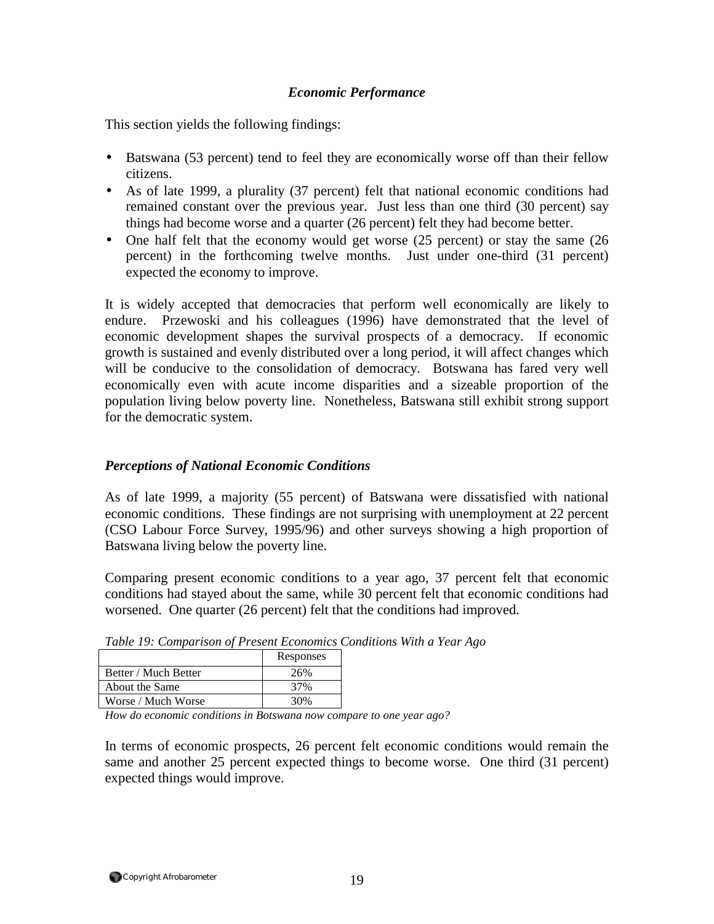# *Economic Performance*

This section yields the following findings:

- Batswana (53 percent) tend to feel they are economically worse off than their fellow citizens.
- As of late 1999, a plurality (37 percent) felt that national economic conditions had remained constant over the previous year. Just less than one third (30 percent) say things had become worse and a quarter (26 percent) felt they had become better.
- One half felt that the economy would get worse (25 percent) or stay the same (26 percent) in the forthcoming twelve months. Just under one-third (31 percent) expected the economy to improve.

It is widely accepted that democracies that perform well economically are likely to endure. Przewoski and his colleagues (1996) have demonstrated that the level of economic development shapes the survival prospects of a democracy. If economic growth is sustained and evenly distributed over a long period, it will affect changes which will be conducive to the consolidation of democracy. Botswana has fared very well economically even with acute income disparities and a sizeable proportion of the population living below poverty line. Nonetheless, Batswana still exhibit strong support for the democratic system.

# *Perceptions of National Economic Conditions*

As of late 1999, a majority (55 percent) of Batswana were dissatisfied with national economic conditions. These findings are not surprising with unemployment at 22 percent (CSO Labour Force Survey, 1995/96) and other surveys showing a high proportion of Batswana living below the poverty line.

Comparing present economic conditions to a year ago, 37 percent felt that economic conditions had stayed about the same, while 30 percent felt that economic conditions had worsened. One quarter (26 percent) felt that the conditions had improved.

|                      | Responses |
|----------------------|-----------|
| Better / Much Better | 26%       |
| About the Same       | 37%       |
| Worse / Much Worse   | 30%       |

*Table 19: Comparison of Present Economics Conditions With a Year Ago* 

*How do economic conditions in Botswana now compare to one year ago?* 

In terms of economic prospects, 26 percent felt economic conditions would remain the same and another 25 percent expected things to become worse. One third (31 percent) expected things would improve.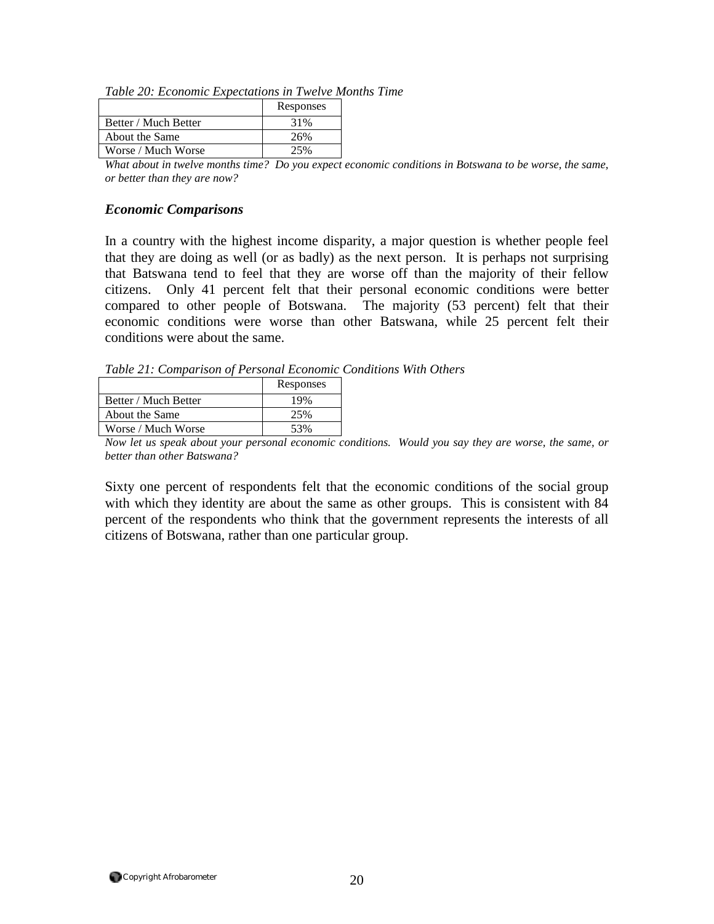*Table 20: Economic Expectations in Twelve Months Time* 

|                      | Responses |
|----------------------|-----------|
| Better / Much Better | 31%       |
| About the Same       | 26%       |
| Worse / Much Worse   | 25%       |

*What about in twelve months time? Do you expect economic conditions in Botswana to be worse, the same, or better than they are now?* 

### *Economic Comparisons*

In a country with the highest income disparity, a major question is whether people feel that they are doing as well (or as badly) as the next person. It is perhaps not surprising that Batswana tend to feel that they are worse off than the majority of their fellow citizens. Only 41 percent felt that their personal economic conditions were better compared to other people of Botswana. The majority (53 percent) felt that their economic conditions were worse than other Batswana, while 25 percent felt their conditions were about the same.

*Table 21: Comparison of Personal Economic Conditions With Others* 

|                      | Responses |
|----------------------|-----------|
| Better / Much Better | 19%       |
| About the Same       | 25%       |
| Worse / Much Worse   | 53%       |

*Now let us speak about your personal economic conditions. Would you say they are worse, the same, or better than other Batswana?* 

Sixty one percent of respondents felt that the economic conditions of the social group with which they identity are about the same as other groups. This is consistent with 84 percent of the respondents who think that the government represents the interests of all citizens of Botswana, rather than one particular group.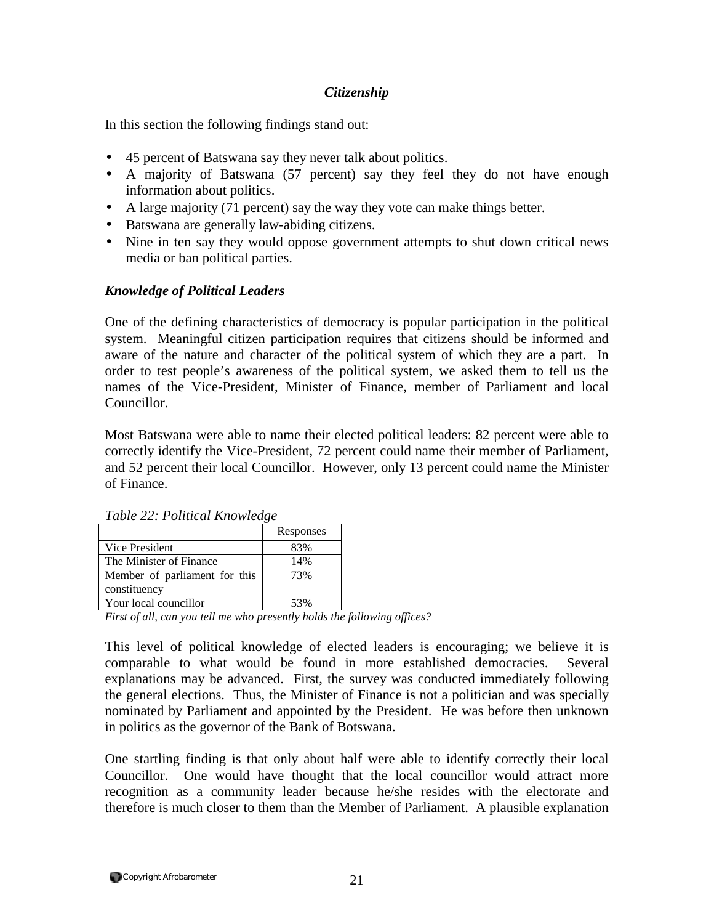# *Citizenship*

In this section the following findings stand out:

- 45 percent of Batswana say they never talk about politics.
- A majority of Batswana (57 percent) say they feel they do not have enough information about politics.
- A large majority (71 percent) say the way they vote can make things better.
- Batswana are generally law-abiding citizens.
- Nine in ten say they would oppose government attempts to shut down critical news media or ban political parties.

# *Knowledge of Political Leaders*

One of the defining characteristics of democracy is popular participation in the political system. Meaningful citizen participation requires that citizens should be informed and aware of the nature and character of the political system of which they are a part. In order to test people's awareness of the political system, we asked them to tell us the names of the Vice-President, Minister of Finance, member of Parliament and local Councillor.

Most Batswana were able to name their elected political leaders: 82 percent were able to correctly identify the Vice-President, 72 percent could name their member of Parliament, and 52 percent their local Councillor. However, only 13 percent could name the Minister of Finance.

|                               | Responses |
|-------------------------------|-----------|
| Vice President                | 83%       |
| The Minister of Finance       | 14%       |
| Member of parliament for this | 73%       |
| constituency                  |           |
| Your local councillor         | 53%       |

*Table 22: Political Knowledge* 

*First of all, can you tell me who presently holds the following offices?* 

This level of political knowledge of elected leaders is encouraging; we believe it is comparable to what would be found in more established democracies. Several explanations may be advanced. First, the survey was conducted immediately following the general elections. Thus, the Minister of Finance is not a politician and was specially nominated by Parliament and appointed by the President. He was before then unknown in politics as the governor of the Bank of Botswana.

One startling finding is that only about half were able to identify correctly their local Councillor. One would have thought that the local councillor would attract more recognition as a community leader because he/she resides with the electorate and therefore is much closer to them than the Member of Parliament. A plausible explanation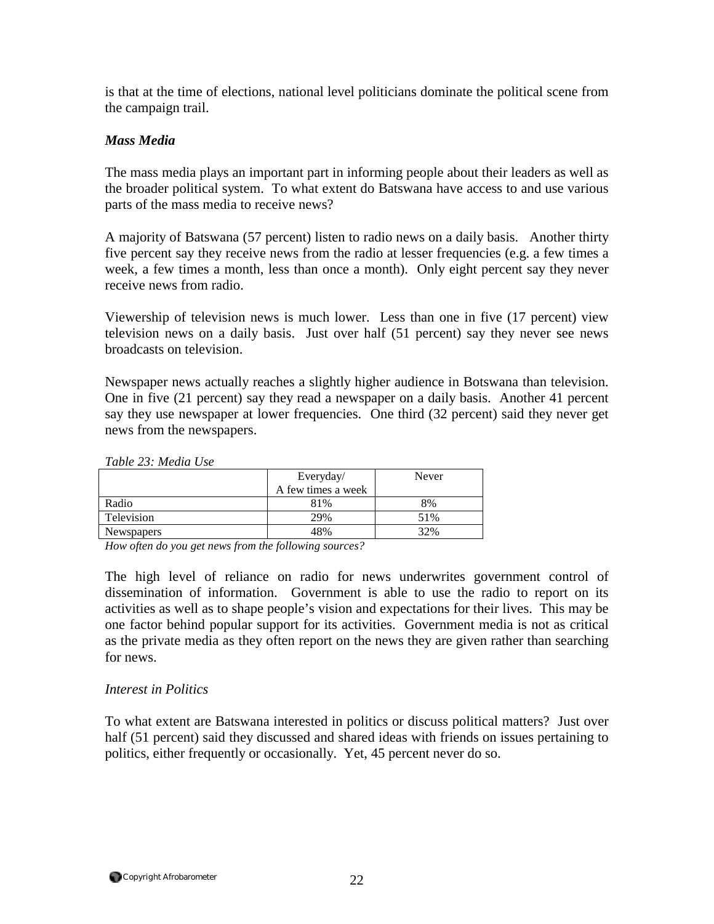is that at the time of elections, national level politicians dominate the political scene from the campaign trail.

# *Mass Media*

The mass media plays an important part in informing people about their leaders as well as the broader political system. To what extent do Batswana have access to and use various parts of the mass media to receive news?

A majority of Batswana (57 percent) listen to radio news on a daily basis. Another thirty five percent say they receive news from the radio at lesser frequencies (e.g. a few times a week, a few times a month, less than once a month). Only eight percent say they never receive news from radio.

Viewership of television news is much lower. Less than one in five (17 percent) view television news on a daily basis. Just over half (51 percent) say they never see news broadcasts on television.

Newspaper news actually reaches a slightly higher audience in Botswana than television. One in five (21 percent) say they read a newspaper on a daily basis. Another 41 percent say they use newspaper at lower frequencies. One third (32 percent) said they never get news from the newspapers.

### *Table 23: Media Use*

|            | Everyday/          | Never |
|------------|--------------------|-------|
|            | A few times a week |       |
| Radio      | 81%                | 8%    |
| Television | 29%                | 51%   |
| Newspapers | 48%                | 32%   |

*How often do you get news from the following sources?* 

The high level of reliance on radio for news underwrites government control of dissemination of information. Government is able to use the radio to report on its activities as well as to shape people's vision and expectations for their lives. This may be one factor behind popular support for its activities. Government media is not as critical as the private media as they often report on the news they are given rather than searching for news.

# *Interest in Politics*

To what extent are Batswana interested in politics or discuss political matters? Just over half (51 percent) said they discussed and shared ideas with friends on issues pertaining to politics, either frequently or occasionally. Yet, 45 percent never do so.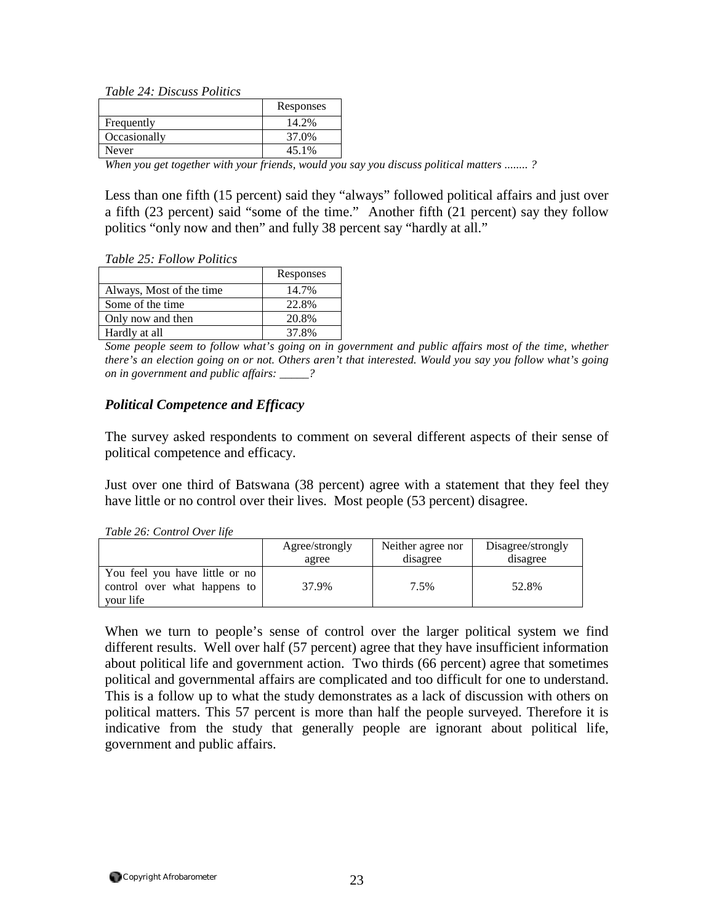#### *Table 24: Discuss Politics*

|              | Responses |
|--------------|-----------|
| Frequently   | 14.2%     |
| Occasionally | 37.0%     |
| Never        | 45.1%     |

*When you get together with your friends, would you say you discuss political matters ........ ?*

Less than one fifth (15 percent) said they "always" followed political affairs and just over a fifth (23 percent) said "some of the time." Another fifth (21 percent) say they follow politics "only now and then" and fully 38 percent say "hardly at all."

|                          | Responses |
|--------------------------|-----------|
| Always, Most of the time | 14.7%     |
| Some of the time         | 22.8%     |
| Only now and then        | 20.8%     |
| Hardly at all            | 37.8%     |

*Some people seem to follow what's going on in government and public affairs most of the time, whether there's an election going on or not. Others aren't that interested. Would you say you follow what's going on in government and public affairs: \_\_\_\_\_?*

### *Political Competence and Efficacy*

The survey asked respondents to comment on several different aspects of their sense of political competence and efficacy.

Just over one third of Batswana (38 percent) agree with a statement that they feel they have little or no control over their lives. Most people (53 percent) disagree.

|                                                                             | Agree/strongly | Neither agree nor | Disagree/strongly |
|-----------------------------------------------------------------------------|----------------|-------------------|-------------------|
|                                                                             | agree          | disagree          | disagree          |
| You feel you have little or no<br>control over what happens to<br>your life | 37.9%          | 7.5%              | 52.8%             |

When we turn to people's sense of control over the larger political system we find different results. Well over half (57 percent) agree that they have insufficient information about political life and government action. Two thirds (66 percent) agree that sometimes political and governmental affairs are complicated and too difficult for one to understand. This is a follow up to what the study demonstrates as a lack of discussion with others on political matters. This 57 percent is more than half the people surveyed. Therefore it is indicative from the study that generally people are ignorant about political life, government and public affairs.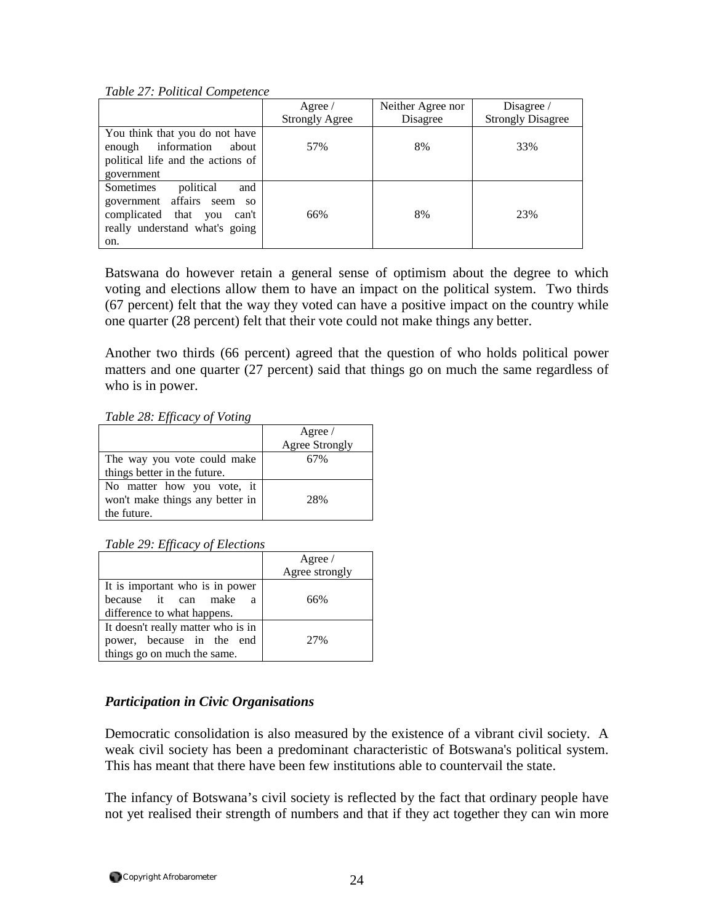#### *Table 27: Political Competence*

|                                                                                                                                                 | Agree $/$             | Neither Agree nor | Disagree/                |
|-------------------------------------------------------------------------------------------------------------------------------------------------|-----------------------|-------------------|--------------------------|
|                                                                                                                                                 | <b>Strongly Agree</b> | Disagree          | <b>Strongly Disagree</b> |
| You think that you do not have<br>enough information<br>about<br>political life and the actions of                                              | 57%                   | 8%                | 33%                      |
| government                                                                                                                                      |                       |                   |                          |
| Sometimes<br>political<br>and<br>government affairs seem<br><b>SO</b><br>complicated that you<br>can't<br>really understand what's going<br>on. | 66%                   | 8%                | 23%                      |

Batswana do however retain a general sense of optimism about the degree to which voting and elections allow them to have an impact on the political system. Two thirds (67 percent) felt that the way they voted can have a positive impact on the country while one quarter (28 percent) felt that their vote could not make things any better.

Another two thirds (66 percent) agreed that the question of who holds political power matters and one quarter (27 percent) said that things go on much the same regardless of who is in power.

*Table 28: Efficacy of Voting* 

|                                                               | Agree $\sqrt{ }$      |
|---------------------------------------------------------------|-----------------------|
|                                                               | <b>Agree Strongly</b> |
| The way you vote could make                                   | 67%                   |
| things better in the future.                                  |                       |
| No matter how you vote, it<br>won't make things any better in | 28%                   |
| the future.                                                   |                       |

*Table 29: Efficacy of Elections* 

|                                    | Agree $/$      |
|------------------------------------|----------------|
|                                    | Agree strongly |
| It is important who is in power    |                |
| because it can make<br>a           | 66%            |
| difference to what happens.        |                |
| It doesn't really matter who is in |                |
| power, because in the end          | 27%            |
| things go on much the same.        |                |

# *Participation in Civic Organisations*

Democratic consolidation is also measured by the existence of a vibrant civil society. A weak civil society has been a predominant characteristic of Botswana's political system. This has meant that there have been few institutions able to countervail the state.

The infancy of Botswana's civil society is reflected by the fact that ordinary people have not yet realised their strength of numbers and that if they act together they can win more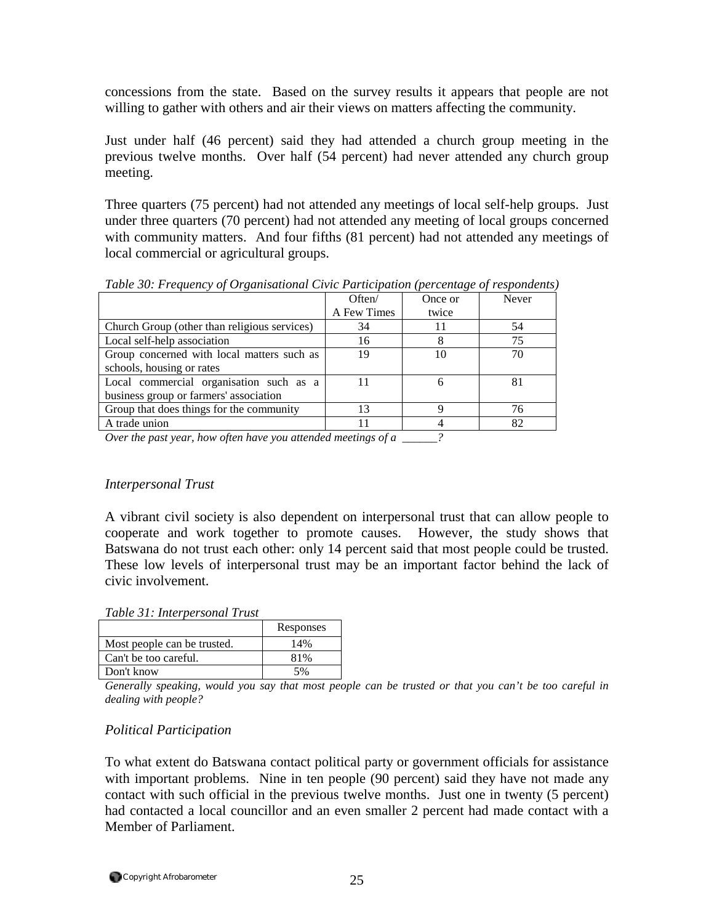concessions from the state. Based on the survey results it appears that people are not willing to gather with others and air their views on matters affecting the community.

Just under half (46 percent) said they had attended a church group meeting in the previous twelve months. Over half (54 percent) had never attended any church group meeting.

Three quarters (75 percent) had not attended any meetings of local self-help groups. Just under three quarters (70 percent) had not attended any meeting of local groups concerned with community matters. And four fifths (81 percent) had not attended any meetings of local commercial or agricultural groups.

|                                              | Often/      | Once or | Never |
|----------------------------------------------|-------------|---------|-------|
|                                              | A Few Times | twice   |       |
| Church Group (other than religious services) | 34          |         | 54    |
| Local self-help association                  | 16          |         | 75    |
| Group concerned with local matters such as   | 19          | 10      | 70    |
| schools, housing or rates                    |             |         |       |
| Local commercial organisation such as a      |             |         | 81    |
| business group or farmers' association       |             |         |       |
| Group that does things for the community     | 13          |         | 76    |
| A trade union                                |             |         | 82    |
|                                              |             |         |       |

*Table 30: Frequency of Organisational Civic Participation (percentage of respondents)* 

*Over the past year, how often have you attended meetings of a \_\_\_\_\_\_?* 

# *Interpersonal Trust*

A vibrant civil society is also dependent on interpersonal trust that can allow people to cooperate and work together to promote causes. However, the study shows that Batswana do not trust each other: only 14 percent said that most people could be trusted. These low levels of interpersonal trust may be an important factor behind the lack of civic involvement.

*Table 31: Interpersonal Trust* 

|                             | Responses |
|-----------------------------|-----------|
| Most people can be trusted. | 14%       |
| Can't be too careful.       | 81%       |
| Don't know                  | $5\%$     |

*Generally speaking, would you say that most people can be trusted or that you can't be too careful in dealing with people?* 

# *Political Participation*

To what extent do Batswana contact political party or government officials for assistance with important problems. Nine in ten people (90 percent) said they have not made any contact with such official in the previous twelve months. Just one in twenty (5 percent) had contacted a local councillor and an even smaller 2 percent had made contact with a Member of Parliament.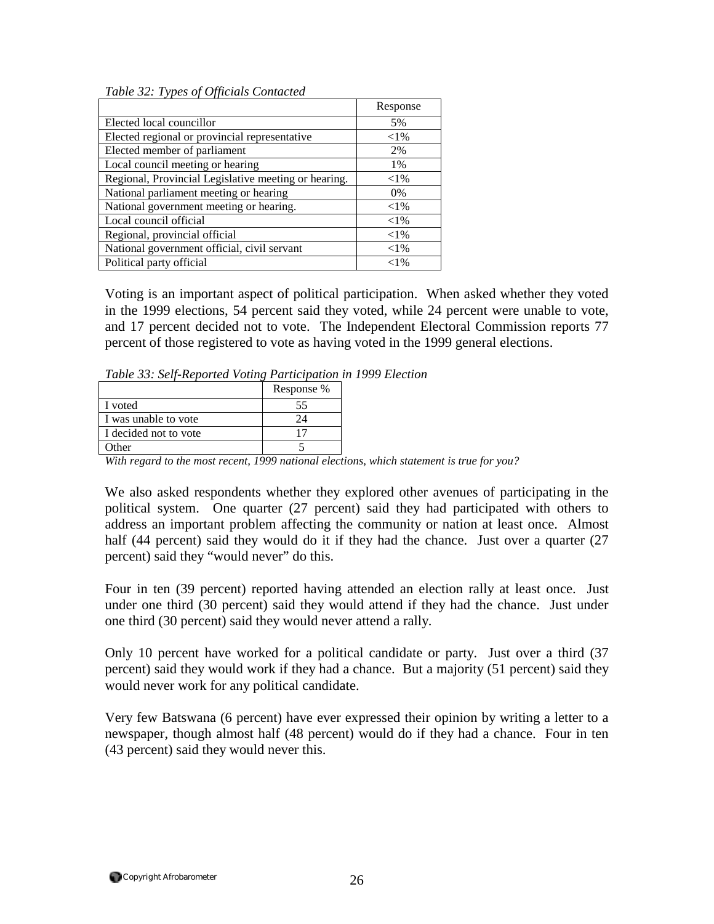*Table 32: Types of Officials Contacted* 

|                                                      | Response |
|------------------------------------------------------|----------|
| Elected local councillor                             | 5%       |
| Elected regional or provincial representative        | ${<}1\%$ |
| Elected member of parliament                         | 2%       |
| Local council meeting or hearing                     | 1%       |
| Regional, Provincial Legislative meeting or hearing. | ${<}1\%$ |
| National parliament meeting or hearing               | $0\%$    |
| National government meeting or hearing.              | ${<}1\%$ |
| Local council official                               | ${<}1\%$ |
| Regional, provincial official                        | ${<}1\%$ |
| National government official, civil servant          | ${<}1\%$ |
| Political party official                             | ${<}1\%$ |

Voting is an important aspect of political participation. When asked whether they voted in the 1999 elections, 54 percent said they voted, while 24 percent were unable to vote, and 17 percent decided not to vote. The Independent Electoral Commission reports 77 percent of those registered to vote as having voted in the 1999 general elections.

*Table 33: Self-Reported Voting Participation in 1999 Election* 

|                       | Response % |
|-----------------------|------------|
| I voted               | 55         |
| I was unable to vote  | 24         |
| I decided not to vote |            |
| Other                 |            |

*With regard to the most recent, 1999 national elections, which statement is true for you?* 

We also asked respondents whether they explored other avenues of participating in the political system. One quarter (27 percent) said they had participated with others to address an important problem affecting the community or nation at least once. Almost half (44 percent) said they would do it if they had the chance. Just over a quarter (27 percent) said they "would never" do this.

Four in ten (39 percent) reported having attended an election rally at least once. Just under one third (30 percent) said they would attend if they had the chance. Just under one third (30 percent) said they would never attend a rally.

Only 10 percent have worked for a political candidate or party. Just over a third (37 percent) said they would work if they had a chance. But a majority (51 percent) said they would never work for any political candidate.

Very few Batswana (6 percent) have ever expressed their opinion by writing a letter to a newspaper, though almost half (48 percent) would do if they had a chance. Four in ten (43 percent) said they would never this.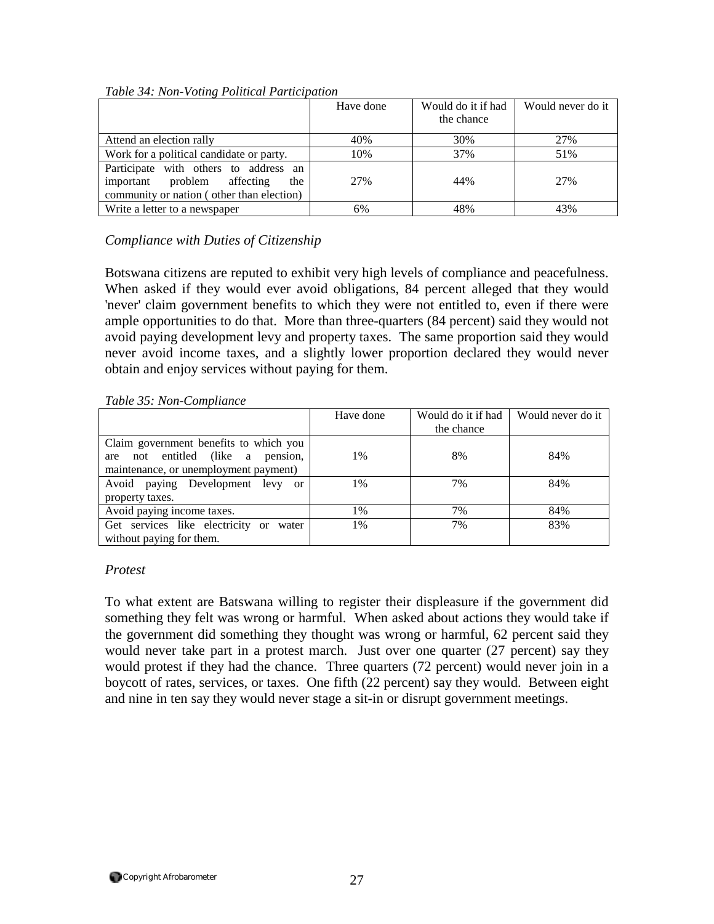|                                                                                                                          | Have done | Would do it if had<br>the chance | Would never do it |
|--------------------------------------------------------------------------------------------------------------------------|-----------|----------------------------------|-------------------|
| Attend an election rally                                                                                                 | 40%       | 30%                              | 27%               |
| Work for a political candidate or party.                                                                                 | 10%       | 37%                              | 51%               |
| Participate with others to address an<br>important problem affecting<br>the<br>community or nation (other than election) | 27%       | 44%                              | 27%               |
| Write a letter to a newspaper                                                                                            | 6%        | 48%                              | 43%               |

#### *Table 34: Non-Voting Political Participation*

# *Compliance with Duties of Citizenship*

Botswana citizens are reputed to exhibit very high levels of compliance and peacefulness. When asked if they would ever avoid obligations, 84 percent alleged that they would 'never' claim government benefits to which they were not entitled to, even if there were ample opportunities to do that. More than three-quarters (84 percent) said they would not avoid paying development levy and property taxes. The same proportion said they would never avoid income taxes, and a slightly lower proportion declared they would never obtain and enjoy services without paying for them.

### *Table 35: Non-Compliance*

|                                                                                                                            | Have done | Would do it if had | Would never do it |
|----------------------------------------------------------------------------------------------------------------------------|-----------|--------------------|-------------------|
|                                                                                                                            |           | the chance         |                   |
| Claim government benefits to which you<br>not entitled (like a<br>pension,<br>are<br>maintenance, or unemployment payment) | 1%        | 8%                 | 84%               |
| Avoid paying Development levy or                                                                                           | 1%        | 7%                 | 84%               |
| property taxes.                                                                                                            |           |                    |                   |
| Avoid paying income taxes.                                                                                                 | 1%        | 7%                 | 84%               |
| Get services like electricity or water                                                                                     | $1\%$     | 7%                 | 83%               |
| without paying for them.                                                                                                   |           |                    |                   |

# *Protest*

To what extent are Batswana willing to register their displeasure if the government did something they felt was wrong or harmful. When asked about actions they would take if the government did something they thought was wrong or harmful, 62 percent said they would never take part in a protest march. Just over one quarter (27 percent) say they would protest if they had the chance. Three quarters (72 percent) would never join in a boycott of rates, services, or taxes. One fifth (22 percent) say they would. Between eight and nine in ten say they would never stage a sit-in or disrupt government meetings.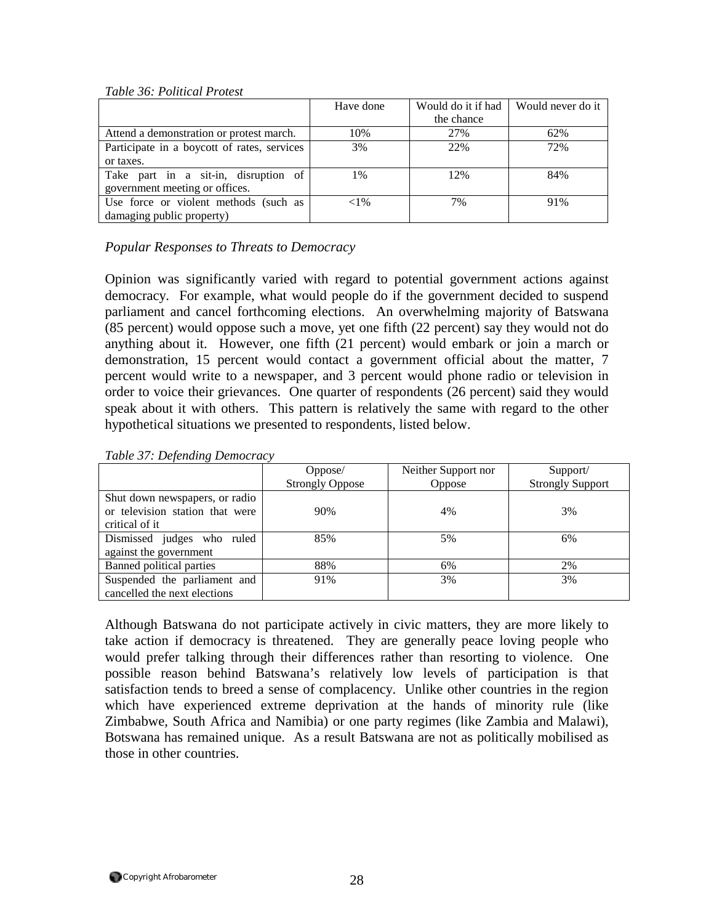#### *Table 36: Political Protest*

|                                             | Have done | Would do it if had | Would never do it |
|---------------------------------------------|-----------|--------------------|-------------------|
|                                             |           | the chance         |                   |
| Attend a demonstration or protest march.    | 10%       | 27%                | 62%               |
| Participate in a boycott of rates, services | 3%        | 22%                | 72%               |
| or taxes.                                   |           |                    |                   |
| Take part in a sit-in, disruption of        | 1%        | 12%                | 84%               |
| government meeting or offices.              |           |                    |                   |
| Use force or violent methods (such as       | ${<}1\%$  | 7%                 | 91%               |
| damaging public property)                   |           |                    |                   |

# *Popular Responses to Threats to Democracy*

Opinion was significantly varied with regard to potential government actions against democracy. For example, what would people do if the government decided to suspend parliament and cancel forthcoming elections. An overwhelming majority of Batswana (85 percent) would oppose such a move, yet one fifth (22 percent) say they would not do anything about it. However, one fifth (21 percent) would embark or join a march or demonstration, 15 percent would contact a government official about the matter, 7 percent would write to a newspaper, and 3 percent would phone radio or television in order to voice their grievances. One quarter of respondents (26 percent) said they would speak about it with others. This pattern is relatively the same with regard to the other hypothetical situations we presented to respondents, listed below.

| Table 37: Defending Democracy |
|-------------------------------|
|-------------------------------|

|                                 | Oppose/                | Neither Support nor | Support/                |
|---------------------------------|------------------------|---------------------|-------------------------|
|                                 | <b>Strongly Oppose</b> | Oppose              | <b>Strongly Support</b> |
| Shut down newspapers, or radio  |                        |                     |                         |
| or television station that were | 90%                    | 4%                  | 3%                      |
| critical of it                  |                        |                     |                         |
| Dismissed judges who ruled      | 85%                    | 5%                  | 6%                      |
| against the government          |                        |                     |                         |
| Banned political parties        | 88%                    | 6%                  | 2%                      |
| Suspended the parliament and    | 91%                    | 3%                  | 3%                      |
| cancelled the next elections    |                        |                     |                         |

Although Batswana do not participate actively in civic matters, they are more likely to take action if democracy is threatened. They are generally peace loving people who would prefer talking through their differences rather than resorting to violence. One possible reason behind Batswana's relatively low levels of participation is that satisfaction tends to breed a sense of complacency. Unlike other countries in the region which have experienced extreme deprivation at the hands of minority rule (like Zimbabwe, South Africa and Namibia) or one party regimes (like Zambia and Malawi), Botswana has remained unique. As a result Batswana are not as politically mobilised as those in other countries.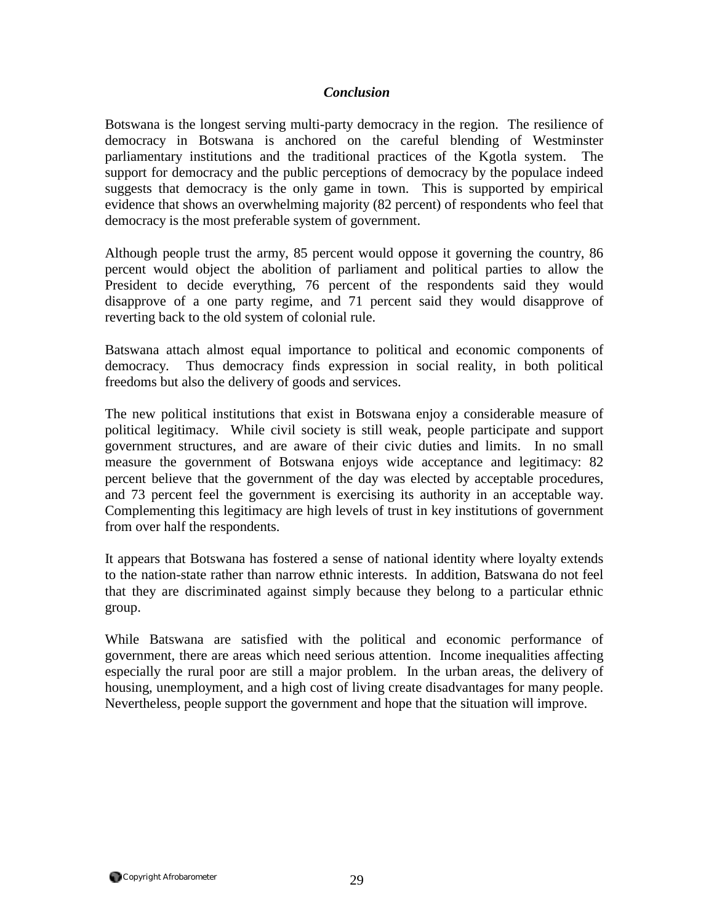# *Conclusion*

Botswana is the longest serving multi-party democracy in the region. The resilience of democracy in Botswana is anchored on the careful blending of Westminster parliamentary institutions and the traditional practices of the Kgotla system. The support for democracy and the public perceptions of democracy by the populace indeed suggests that democracy is the only game in town. This is supported by empirical evidence that shows an overwhelming majority (82 percent) of respondents who feel that democracy is the most preferable system of government.

Although people trust the army, 85 percent would oppose it governing the country, 86 percent would object the abolition of parliament and political parties to allow the President to decide everything, 76 percent of the respondents said they would disapprove of a one party regime, and 71 percent said they would disapprove of reverting back to the old system of colonial rule.

Batswana attach almost equal importance to political and economic components of democracy. Thus democracy finds expression in social reality, in both political freedoms but also the delivery of goods and services.

The new political institutions that exist in Botswana enjoy a considerable measure of political legitimacy. While civil society is still weak, people participate and support government structures, and are aware of their civic duties and limits. In no small measure the government of Botswana enjoys wide acceptance and legitimacy: 82 percent believe that the government of the day was elected by acceptable procedures, and 73 percent feel the government is exercising its authority in an acceptable way. Complementing this legitimacy are high levels of trust in key institutions of government from over half the respondents.

It appears that Botswana has fostered a sense of national identity where loyalty extends to the nation-state rather than narrow ethnic interests. In addition, Batswana do not feel that they are discriminated against simply because they belong to a particular ethnic group.

While Batswana are satisfied with the political and economic performance of government, there are areas which need serious attention. Income inequalities affecting especially the rural poor are still a major problem. In the urban areas, the delivery of housing, unemployment, and a high cost of living create disadvantages for many people. Nevertheless, people support the government and hope that the situation will improve.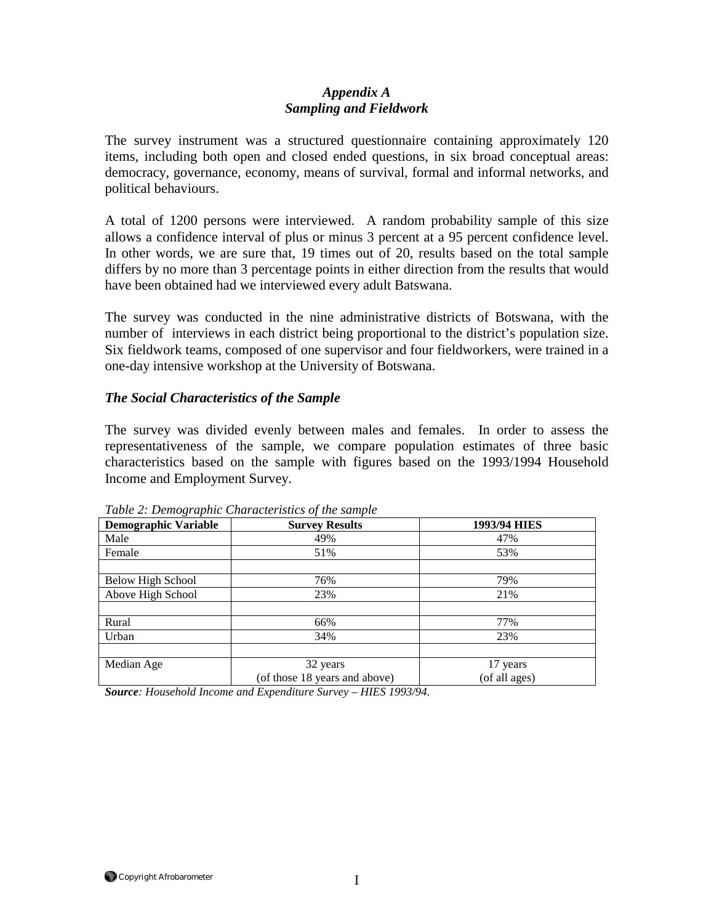# *Appendix A Sampling and Fieldwork*

The survey instrument was a structured questionnaire containing approximately 120 items, including both open and closed ended questions, in six broad conceptual areas: democracy, governance, economy, means of survival, formal and informal networks, and political behaviours.

A total of 1200 persons were interviewed. A random probability sample of this size allows a confidence interval of plus or minus 3 percent at a 95 percent confidence level. In other words, we are sure that, 19 times out of 20, results based on the total sample differs by no more than 3 percentage points in either direction from the results that would have been obtained had we interviewed every adult Batswana.

The survey was conducted in the nine administrative districts of Botswana, with the number of interviews in each district being proportional to the district's population size. Six fieldwork teams, composed of one supervisor and four fieldworkers, were trained in a one-day intensive workshop at the University of Botswana.

# *The Social Characteristics of the Sample*

The survey was divided evenly between males and females. In order to assess the representativeness of the sample, we compare population estimates of three basic characteristics based on the sample with figures based on the 1993/1994 Household Income and Employment Survey.

| <b>Demographic Variable</b> | <b>Survey Results</b>         | 1993/94 HIES  |
|-----------------------------|-------------------------------|---------------|
| Male                        | 49%                           | 47%           |
| Female                      | 51%                           | 53%           |
|                             |                               |               |
| <b>Below High School</b>    | 76%                           | 79%           |
| Above High School           | 23%                           | 21%           |
|                             |                               |               |
| Rural                       | 66%                           | 77%           |
| Urban                       | 34%                           | 23%           |
|                             |                               |               |
| Median Age                  | 32 years                      | 17 years      |
|                             | (of those 18 years and above) | (of all ages) |

*Table 2: Demographic Characteristics of the sample* 

*Source: Household Income and Expenditure Survey – HIES 1993/94.*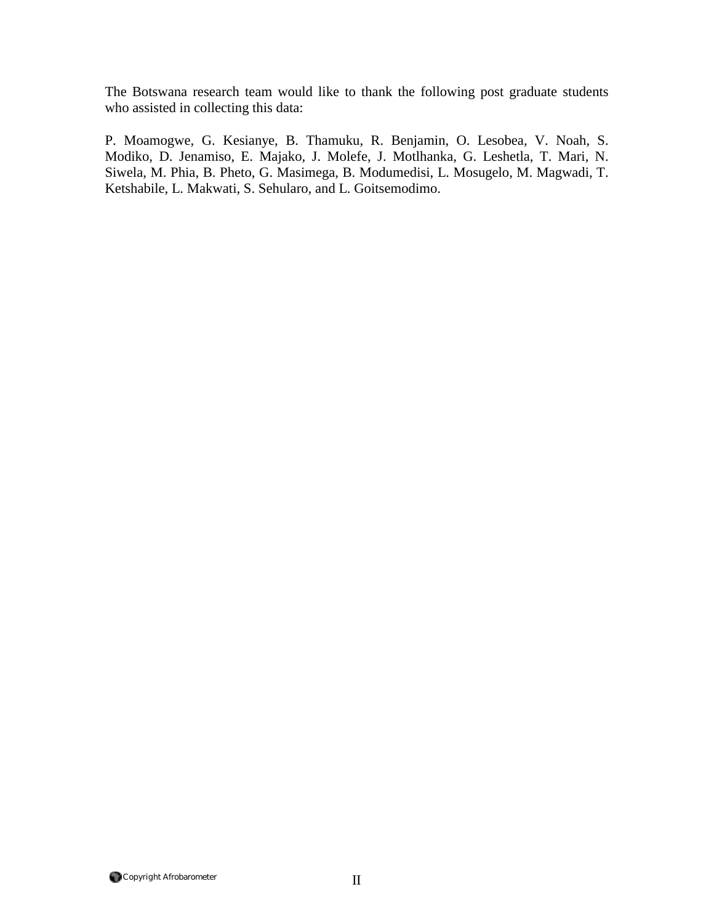The Botswana research team would like to thank the following post graduate students who assisted in collecting this data:

P. Moamogwe, G. Kesianye, B. Thamuku, R. Benjamin, O. Lesobea, V. Noah, S. Modiko, D. Jenamiso, E. Majako, J. Molefe, J. Motlhanka, G. Leshetla, T. Mari, N. Siwela, M. Phia, B. Pheto, G. Masimega, B. Modumedisi, L. Mosugelo, M. Magwadi, T. Ketshabile, L. Makwati, S. Sehularo, and L. Goitsemodimo.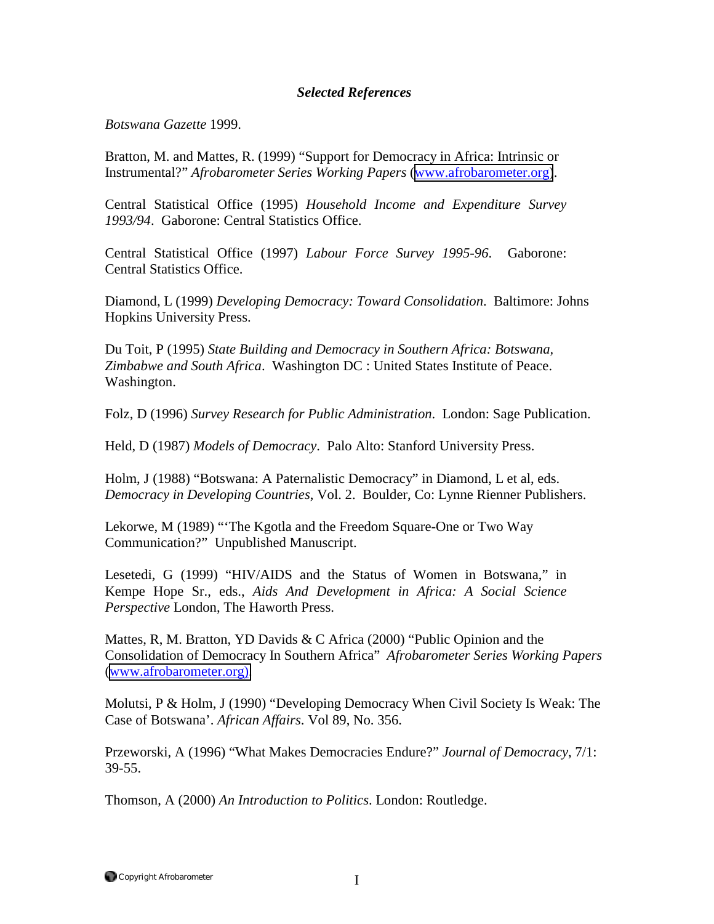### *Selected References*

*Botswana Gazette* 1999.

Bratton, M. and Mattes, R. (1999) "Support for Democracy in Africa: Intrinsic or Instrumental?" *Afrobarometer Series Working Papers* ([www.afrobarometer.org\)](http://www.afrobarometer.org/).

Central Statistical Office (1995) *Household Income and Expenditure Survey 1993/94*. Gaborone: Central Statistics Office.

Central Statistical Office (1997) *Labour Force Survey 1995-96*. Gaborone: Central Statistics Office.

Diamond, L (1999) *Developing Democracy: Toward Consolidation*. Baltimore: Johns Hopkins University Press.

Du Toit, P (1995) *State Building and Democracy in Southern Africa: Botswana, Zimbabwe and South Africa*. Washington DC : United States Institute of Peace. Washington.

Folz, D (1996) *Survey Research for Public Administration*. London: Sage Publication.

Held, D (1987) *Models of Democracy*. Palo Alto: Stanford University Press.

Holm, J (1988) "Botswana: A Paternalistic Democracy" in Diamond, L et al, eds. *Democracy in Developing Countries*, Vol. 2. Boulder, Co: Lynne Rienner Publishers.

Lekorwe, M (1989) "'The Kgotla and the Freedom Square-One or Two Way Communication?" Unpublished Manuscript.

Lesetedi, G (1999) "HIV/AIDS and the Status of Women in Botswana," in Kempe Hope Sr., eds., *Aids And Development in Africa: A Social Science Perspective* London, The Haworth Press.

Mattes, R, M. Bratton, YD Davids  $& C$  Africa (2000) "Public Opinion and the Consolidation of Democracy In Southern Africa" *Afrobarometer Series Working Papers* [\(www.afrobarometer.org\).](http://www.afrobarometer.org)/)

Molutsi, P & Holm, J (1990) "Developing Democracy When Civil Society Is Weak: The Case of Botswana'. *African Affairs*. Vol 89, No. 356.

Przeworski, A (1996) "What Makes Democracies Endure?" *Journal of Democracy*, 7/1: 39-55.

Thomson, A (2000) *An Introduction to Politics*. London: Routledge.

Copyright Afrobarometer I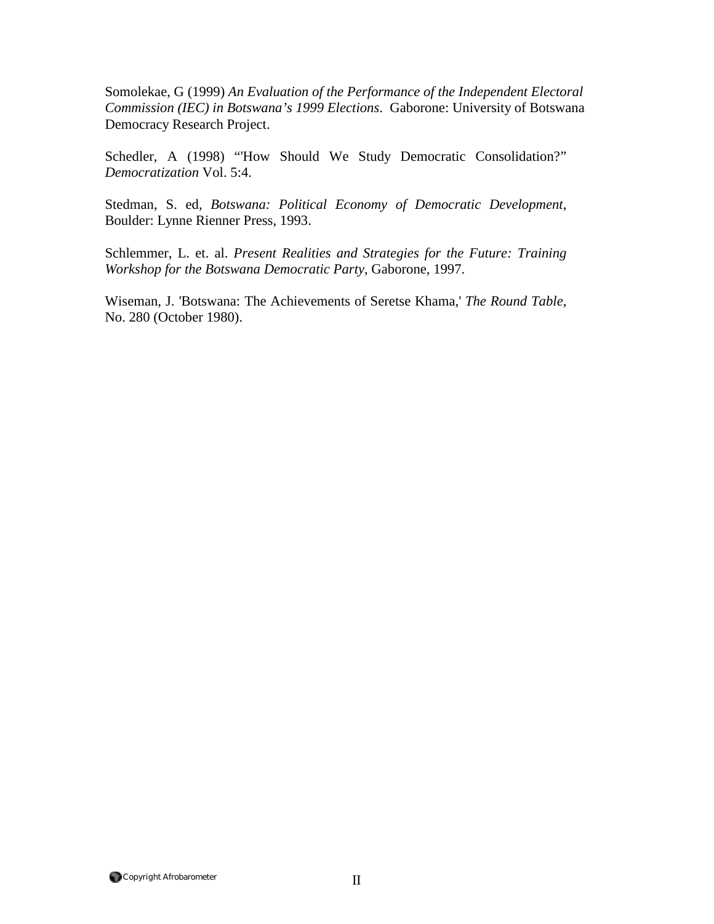Somolekae, G (1999) *An Evaluation of the Performance of the Independent Electoral Commission (IEC) in Botswana's 1999 Elections*. Gaborone: University of Botswana Democracy Research Project.

Schedler, A (1998) "'How Should We Study Democratic Consolidation?" *Democratization* Vol. 5:4.

Stedman, S. ed, *Botswana: Political Economy of Democratic Development*, Boulder: Lynne Rienner Press, 1993.

Schlemmer, L. et. al. *Present Realities and Strategies for the Future: Training Workshop for the Botswana Democratic Party*, Gaborone, 1997.

Wiseman, J. 'Botswana: The Achievements of Seretse Khama,' *The Round Table*, No. 280 (October 1980).